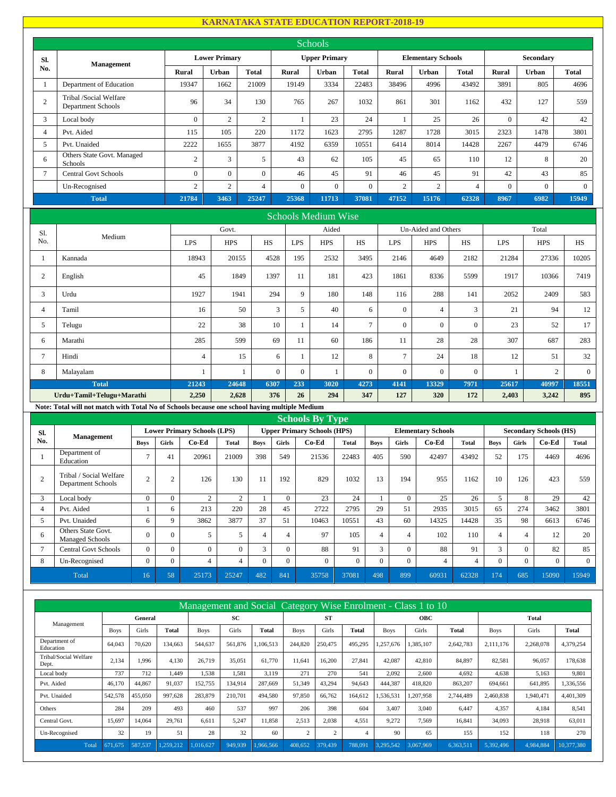## **KARNATAKA STATE EDUCATION REPORT-2018-19**

|                  |                                                                                               |                |       |                                             |                      |              |                |                | Schools                                     |              |                |                  |                                    |                |              |              |                                        |              |
|------------------|-----------------------------------------------------------------------------------------------|----------------|-------|---------------------------------------------|----------------------|--------------|----------------|----------------|---------------------------------------------|--------------|----------------|------------------|------------------------------------|----------------|--------------|--------------|----------------------------------------|--------------|
| Sl.              |                                                                                               |                |       |                                             | <b>Lower Primary</b> |              |                |                | <b>Upper Primary</b>                        |              |                |                  | <b>Elementary Schools</b>          |                |              |              | Secondary                              |              |
| No.              | <b>Management</b>                                                                             |                |       | Rural                                       | Urban                | <b>Total</b> |                | <b>Rural</b>   | Urban                                       |              | <b>Total</b>   | <b>Rural</b>     | Urban                              | <b>Total</b>   | <b>Rural</b> |              | Urban                                  | <b>Total</b> |
| $\mathbf{1}$     | Department of Education                                                                       |                |       | 19347                                       | 1662                 | 21009        |                | 19149          | 3334                                        |              | 22483          | 38496            | 4996                               | 43492          | 3891         |              | 805                                    | 4696         |
| $\mathbf{2}$     | Tribal /Social Welfare<br>Department Schools                                                  |                |       | 96                                          | 34                   | 130          |                | 765            | 267                                         |              | 1032           | 861              | 301                                | 1162           | 432          |              | 127                                    | 559          |
| 3                | Local body                                                                                    |                |       | $\overline{0}$                              | $\overline{2}$       |              | $\overline{2}$ | $\mathbf{1}$   | 23                                          |              | 24             | 1                | 25                                 | 26             |              | $\mathbf{0}$ | 42                                     | 42           |
| $\overline{4}$   | Pvt. Aided                                                                                    |                |       | 115                                         | 105                  | 220          |                | 1172           | 1623                                        |              | 2795           | 1287             | 1728                               | 3015           | 2323         |              | 1478                                   | 3801         |
| 5                | Pvt. Unaided                                                                                  |                |       | 2222                                        | 1655                 | 3877         |                | 4192           | 6359                                        |              | 10551          | 6414             | 8014                               | 14428          | 2267         |              | 4479                                   | 6746         |
| 6                | Others State Govt. Managed<br>Schools                                                         |                |       | $\overline{c}$                              | 3                    |              | 5              | 43             | 62                                          |              | 105            | 45               | 65                                 | 110            | 12           |              | 8                                      | 20           |
| $\boldsymbol{7}$ | <b>Central Govt Schools</b>                                                                   |                |       | $\overline{0}$                              | $\boldsymbol{0}$     |              | $\overline{0}$ | 46             | 45                                          |              | 91             | 46               | 45                                 | 91             | 42           |              | 43                                     | 85           |
|                  | Un-Recognised                                                                                 |                |       | $\overline{2}$                              | $\overline{c}$       |              | $\overline{4}$ | $\overline{0}$ | $\mathbf{0}$                                |              | $\overline{0}$ | $\overline{2}$   | $\overline{c}$                     | $\overline{4}$ |              | $\mathbf{0}$ | $\overline{0}$                         | $\Omega$     |
|                  | <b>Total</b>                                                                                  |                |       | 21784                                       | 3463                 | 25247        |                | 25368          | 11713                                       |              | 37081          | 47152            | 15176                              | 62328          | 8967         |              | 6982                                   | 15949        |
|                  |                                                                                               |                |       |                                             |                      |              |                |                | <b>Schools Medium Wise</b>                  |              |                |                  |                                    |                |              |              |                                        |              |
| Sl.              |                                                                                               |                |       |                                             | Govt.                |              |                |                | Aided                                       |              |                |                  | Un-Aided and Others                |                |              |              | Total                                  |              |
| No.              | Medium                                                                                        |                |       | LPS                                         | <b>HPS</b>           |              | HS             | <b>LPS</b>     | <b>HPS</b>                                  |              | HS             | <b>LPS</b>       | <b>HPS</b>                         | HS             | <b>LPS</b>   |              | <b>HPS</b>                             | HS           |
| $\mathbf{1}$     | Kannada                                                                                       |                |       | 18943                                       | 20155                |              | 4528           | 195            | 2532                                        |              | 3495           | 2146             | 4649                               | 2182           |              | 21284        | 27336                                  | 10205        |
| 2                | English                                                                                       |                |       | 45                                          | 1849                 |              | 1397           | 11             | 181                                         |              | 423            | 1861             | 8336                               | 5599           |              | 1917         | 10366                                  | 7419         |
| 3                | Urdu                                                                                          |                |       | 1927                                        | 1941                 |              | 294            | 9              | 180                                         |              | 148            | 116              | 288                                | 141            |              | 2052         | 2409                                   | 583          |
| $\overline{4}$   | Tamil                                                                                         |                |       | 16                                          |                      | 50           | 3              | 5              | 40                                          |              | 6              | $\mathbf{0}$     | $\overline{4}$                     | 3              |              | 21           | 94                                     | 12           |
| 5                | Telugu                                                                                        |                |       | 22                                          |                      | 38           | 10             | $\mathbf{1}$   | 14                                          |              | $\tau$         | $\mathbf{0}$     | $\mathbf{0}$                       | $\mathbf{0}$   |              | 23           | 52                                     | 17           |
| 6                | Marathi                                                                                       |                |       | 285                                         |                      | 599          | 69             | 11             | 60                                          |              | 186            | 11               | 28                                 | 28             |              | 307          | 687                                    | 283          |
| $\tau$           | Hindi                                                                                         |                |       | $\overline{4}$                              |                      | 15           | 6              | $\mathbf{1}$   | 12                                          |              | $\,8\,$        | $\boldsymbol{7}$ | 24                                 | 18             |              | 12           | 51                                     | 32           |
| 8                | Malayalam                                                                                     |                |       | $\mathbf{1}$                                |                      | $\mathbf{1}$ | $\overline{0}$ | $\mathbf{0}$   | $\mathbf{1}$                                |              | $\overline{0}$ | $\mathbf{0}$     | $\overline{0}$                     | $\mathbf{0}$   |              | $\mathbf{1}$ | $\overline{2}$                         | $\mathbf{0}$ |
|                  | <b>Total</b>                                                                                  |                |       | 21243                                       | 24648                |              | 6307           | 233            | 3020                                        |              | 4273           | 4141             | 13329                              | 7971           |              | 25617        | 40997                                  | 18551        |
|                  | Urdu+Tamil+Telugu+Marathi                                                                     |                |       | 2,250                                       | 2,628                |              | 376            | 26             | 294                                         |              | 347            | 127              | 320                                | 172            |              | 2,403        | 3,242                                  | 895          |
|                  | Note: Total will not match with Total No of Schools because one school having multiple Medium |                |       |                                             |                      |              |                |                |                                             |              |                |                  |                                    |                |              |              |                                        |              |
|                  |                                                                                               |                |       |                                             |                      |              |                |                | <b>Schools By Type</b>                      |              |                |                  |                                    |                |              |              |                                        |              |
| Sl.<br>No.       | Management                                                                                    | <b>Boys</b>    | Girls | <b>Lower Primary Schools (LPS)</b><br>Co-Ed | <b>Total</b>         | <b>Boys</b>  | Girls          |                | <b>Upper Primary Schools (HPS)</b><br>Co-Ed | <b>Total</b> | <b>Boys</b>    | Girls            | <b>Elementary Schools</b><br>Co-Ed | <b>Total</b>   | <b>Boys</b>  | <b>Girls</b> | <b>Secondary Schools (HS)</b><br>Co-Ed | <b>Total</b> |
| 1                | Department of<br>Education                                                                    | $\overline{7}$ | 41    | 20961                                       | 21009                | 398          | 549            |                | 21536                                       | 22483        | 405            | 590              | 42497                              | 43492          | 52           | 175          | 4469                                   | 4696         |

|              | Department of<br>Education                    | $\overline{\phantom{0}}$ | 41 | 20961 | 21009 | 398    | 549      | 21536    | 22483 | 405            | 590      | 42497 | 43492 | 52     | 175      | 4469     | 4696  |
|--------------|-----------------------------------------------|--------------------------|----|-------|-------|--------|----------|----------|-------|----------------|----------|-------|-------|--------|----------|----------|-------|
|              | Tribal / Social Welfare<br>Department Schools |                          |    | 126   | 130   |        | 192      | 829      | 1032  | 13             | 194      | 955   | 1162  | 10     | 126      | 423      | 559   |
| $\mathbf{R}$ | Local body                                    | 0                        |    |       |       |        |          | 23       | 24    |                |          | 25    | 26    |        |          | 29       | 42    |
| 4            | Pvt. Aided                                    |                          |    | 213   | 220   | 28     | 45       | 2722     | 2795  | 29             | 51       | 2935  | 3015  | 65     | 274      | 3462     | 3801  |
|              | Pvt. Unaided                                  | 6                        |    | 3862  | 3877  | 37     | 51       | 10463    | 10551 | 43             | 60       | 14325 | 14428 | 35     | 98       | 6613     | 6746  |
| 6            | Others State Govt.<br>Managed Schools         | $\Omega$                 |    |       |       |        |          | 97       | 105   | $\overline{4}$ |          | 102   | 110   |        |          | 12       | 20    |
|              | <b>Central Govt Schools</b>                   | $\Omega$                 |    |       |       | $\sim$ | n.       | 88       | 91    | $\mathbf{a}$   |          | 88    | 91    | $\sim$ |          | 82       | 85    |
| 8            | Un-Recognised                                 | 0                        |    |       |       | 0      | $\Omega$ | $\Omega$ | 0     | $\Omega$       | $\theta$ |       |       |        | $\Omega$ | $\Omega$ |       |
|              | Total                                         | 16                       | 58 | 25173 | 25247 | 482    | 841      | 35758    | 37081 | 498            | 899      | 60931 | 62328 | 174    | 685      | 15090    | 15949 |

|                                |             |         |           |             |         |           |             |           |         |             | Management and Social Category Wise Enrolment - Class 1 to 10 |              |             |              |              |
|--------------------------------|-------------|---------|-----------|-------------|---------|-----------|-------------|-----------|---------|-------------|---------------------------------------------------------------|--------------|-------------|--------------|--------------|
|                                |             | General |           |             | SC      |           |             | <b>ST</b> |         |             | <b>OBC</b>                                                    |              |             | <b>Total</b> |              |
| Management                     | <b>Boys</b> | Girls   | Total     | <b>Boys</b> | Girls   | Total     | <b>Boys</b> | Girls     | Total   | <b>Boys</b> | Girls                                                         | <b>Total</b> | <b>Boys</b> | Girls        | <b>Total</b> |
| Department of<br>Education     | 64.043      | 70,620  | 134,663   | 544,637     | 561,876 | 1,106,513 | 244,820     | 250,475   | 495,295 | 1,257,676   | 1,385,107                                                     | 2,642,783    | 2.111.176   | 2,268,078    | 4,379,254    |
| Tribal/Social Welfare<br>Dept. | 2,134       | 1.996   | 4.130     | 26.719      | 35,051  | 61,770    | 11.641      | 16,200    | 27.841  | 42.087      | 42.810                                                        | 84.897       | 82,581      | 96,057       | 178,638      |
| Local body                     | 737         | 712     | 1.449     | 1,538       | 1.581   | 3.119     | 271         | 270       | 541     | 2,092       | 2,600                                                         | 4,692        | 4,638       | 5,163        | 9,801        |
| Pvt. Aided                     | 46,170      | 44,867  | 91.037    | 152,755     | 134.914 | 287,669   | 51,349      | 43,294    | 94,643  | 444,387     | 418,820                                                       | 863,207      | 694,661     | 641,895      | 1,336,556    |
| Pvt. Unaided                   | 542,578     | 455,050 | 997,628   | 283,879     | 210,701 | 494,580   | 97,850      | 66,762    | 164,612 | 1,536,531   | ,207,958                                                      | 2,744,489    | 2,460,838   | 1,940,471    | 4,401,309    |
| Others                         | 284         | 209     | 493       | 460         | 537     | 997       | 206         | 398       | 604     | 3.407       | 3,040                                                         | 6.447        | 4,357       | 4,184        | 8,541        |
| Central Govt.                  | 15,697      | 14,064  | 29.761    | 6,611       | 5,247   | 11,858    | 2,513       | 2,038     | 4,551   | 9,272       | 7,569                                                         | 16,841       | 34,093      | 28,918       | 63,011       |
| Un-Recognised                  | 32          | 19      | 51        | 28          | 32      | 60        | 2           | 2         | 4       | 90          | 65                                                            | 155          | 152         | 118          | 270          |
| Total                          | 671,675     | 587,537 | 1,259,212 | 1,016,627   | 949.939 | 1,966,566 | 408,652     | 379,439   | 788,091 | 3,295,542   | 3.067.969                                                     | 6,363,511    | 5,392,496   | 4,984,884    | 10,377,380   |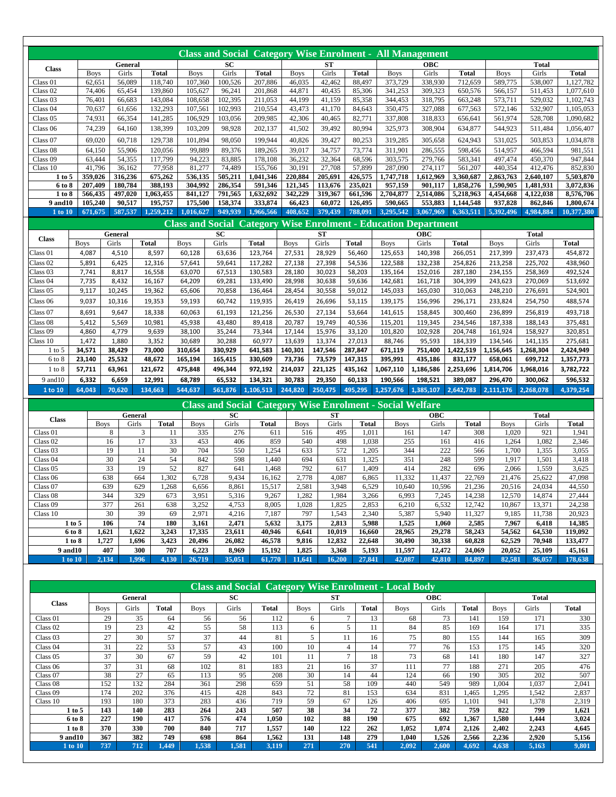|                              |             |             |                |              |              |                         |           |              |             |           |              | <b>Class and Social Category Wise Enrolment - All Management</b> |            |              |             |              |              |
|------------------------------|-------------|-------------|----------------|--------------|--------------|-------------------------|-----------|--------------|-------------|-----------|--------------|------------------------------------------------------------------|------------|--------------|-------------|--------------|--------------|
|                              |             |             | General        |              |              |                         | SC        |              |             | ST        |              |                                                                  | <b>OBC</b> |              |             | <b>Total</b> |              |
| <b>Class</b>                 |             | <b>Boys</b> | Girls          | <b>Total</b> |              | <b>Boys</b>             | Girls     | <b>Total</b> | <b>Boys</b> | Girls     | <b>Total</b> | <b>Boys</b>                                                      | Girls      | <b>Total</b> | <b>Boys</b> | Girls        | <b>Total</b> |
| Class 01                     |             | 62,651      | 56.089         |              | 118,740      | 107,360                 | 100,526   | 207,886      | 46.035      | 42.462    | 88,497       | 373,729                                                          | 338.930    | 712,659      | 589,775     | 538,007      | 1,127,782    |
| Class 02                     |             | 74,406      | 65,454         |              | 139,860      | 105,627                 | 96,241    | 201,868      | 44,871      | 40,435    | 85,306       | 341,253                                                          | 309,323    | 650,576      | 566,157     | 511,453      | 1,077,610    |
| Class <sub>03</sub>          |             | 76,401      | 66,683         |              | 143,084      | 108,658                 | 102,395   | 211,053      | 44,199      | 41,159    | 85,358       | 344,453                                                          | 318,795    | 663,248      | 573,711     | 529,032      | 1,102,743    |
| Class <sub>04</sub>          |             | 70,637      | 61,656         |              | 132,293      | 107,561                 | 102,993   | 210,554      | 43,473      | 41,170    | 84,643       | 350,475                                                          | 327,088    | 677,563      | 572,146     | 532,907      | 1,105,053    |
| Class <sub>05</sub>          |             | 74,931      | 66,354         |              | 141,285      | 106,929                 | 103,056   | 209,985      | 42,306      | 40,465    | 82,771       | 337,808                                                          | 318,833    | 656,641      | 561,974     | 528,708      | 1,090,682    |
| Class 06                     |             | 74,239      | 64,160         |              | 138,399      | 103,209                 | 98,928    | 202,137      | 41,502      | 39,492    | 80,994       | 325,973                                                          | 308,904    | 634,877      | 544,923     | 511,484      | 1,056,407    |
| Class <sub>07</sub>          |             | 69,020      | 60.718         |              | 129,738      | 101,894                 | 98.050    | 199,944      | 40.826      | 39.427    | 80.253       | 319,285                                                          | 305,658    | 624,943      | 531,025     | 503.853      | 1,034,878    |
| Class 08                     |             | 64,150      | 55,906         |              | 120,056      | 99,889                  | 89,376    | 189,265      | 39,017      | 34,757    | 73,774       | 311,901                                                          | 286,555    | 598,456      | 514,957     | 466,594      | 981,551      |
| Class <sub>09</sub>          |             | 63,444      | 54,355         |              | 117,799      | 94,223                  | 83,885    | 178,108      | 36,232      | 32,364    | 68,596       | 303,575                                                          | 279,766    | 583,341      | 497,474     | 450,370      | 947,844      |
| Class 10                     |             | 41.796      | 36,162         |              | 77,958       | 81,277                  | 74,489    | 155,766      | 30.191      | 27,708    | 57,899       | 287,090                                                          | 274,117    | 561,207      | 440,354     | 412,476      | 852,830      |
| 1 to 5                       |             | 359,026     | 316,236        |              | 675,262      | 536,135                 | 505,211   | 1,041,346    | 220,884     | 205,691   | 426,575      | 1,747,718                                                        | 1,612,969  | 3,360,687    | 2,863,763   | 2,640,107    | 5,503,870    |
| 6 to 8                       |             | 207,409     | 180,784        |              | 388,193      | 304,992                 | 286,354   | 591,346      | 121,345     | 113,676   | 235,021      | 957,159                                                          | 901,117    | 1,858,276    | 1,590,905   | 1,481,931    | 3,072,836    |
| 1 to 8                       |             | 566,435     | 497,020        |              | 1,063,455    | 841,127                 | 791,565   | 1,632,692    | 342,229     | 319,367   | 661,596      | 2,704,877                                                        | 2,514,086  | 5,218,963    | 4,454,668   | 4,122,038    | 8,576,706    |
| 9 and 10                     |             | 105,240     | 90,517         |              | 195,757      | 175,500                 | 158,374   | 333,874      | 66,423      | 60.072    | 126,495      | 590,665                                                          | 553,883    | 1,144,548    | 937,828     | 862,846      | 1,800,674    |
| 1 to 10                      |             | 671,675     | 587,537        | 1.259,212    |              | 1,016,627               | 949,939   | 1,966,566    | 408,652     | 379,439   | 788,091      | 3,295,542                                                        | 3,067,969  | 6,363,511    | 5,392,496   | 4.984.884    | 10,377,380   |
|                              |             |             |                |              |              | <b>Class and Social</b> |           |              |             |           |              | <b>Category Wise Enrolment - Education Department</b>            |            |              |             |              |              |
| <b>Class</b>                 |             |             | <b>General</b> |              |              |                         | <b>SC</b> |              |             | <b>ST</b> |              |                                                                  | <b>OBC</b> |              |             | <b>Total</b> |              |
|                              | <b>Boys</b> |             | Girls          | <b>Total</b> |              | <b>Boys</b>             | Girls     | <b>Total</b> | <b>Boys</b> | Girls     | <b>Total</b> | <b>Boys</b>                                                      | Girls      | <b>Total</b> | <b>Boys</b> | Girls        | <b>Total</b> |
| Class 01                     | 4,087       |             | 4,510          | 8,597        |              | 60,128                  | 63,636    | 123,764      | 27,531      | 28,929    | 56,460       | 125,653                                                          | 140,398    | 266,051      | 217,399     | 237.473      | 454,872      |
| Class 02                     | 5,891       |             | 6,425          | 12,316       |              | 57,641                  | 59,641    | 117,282      | 27,138      | 27,398    | 54,536       | 122,588                                                          | 132,238    | 254,826      | 213,258     | 225,702      | 438,960      |
| Class <sub>03</sub>          | 7,741       |             | 8,817          | 16,558       |              | 63,070                  | 67,513    | 130,583      | 28,180      | 30,023    | 58,203       | 135,164                                                          | 152,016    | 287,180      | 234,155     | 258,369      | 492,524      |
| Class <sub>04</sub>          | 7,735       |             | 8,432          | 16,167       |              | 64,209                  | 69,281    | 133,490      | 28,998      | 30,638    | 59,636       | 142,681                                                          | 161,718    | 304,399      | 243,623     | 270,069      | 513,692      |
| Class <sub>05</sub>          | 9,117       |             | 10,245         | 19,362       |              | 65,606                  | 70,858    | 136,464      | 28,454      | 30,558    | 59,012       | 145,033                                                          | 165,030    | 310,063      | 248,210     | 276,691      | 524,901      |
| Class 06                     | 9,037       |             | 10,316         | 19,353       |              | 59,193                  | 60,742    | 119,935      | 26,419      | 26,696    | 53,115       | 139,175                                                          | 156,996    | 296,171      | 233,824     | 254,750      | 488,574      |
| Class 07                     | 8,691       |             | 9,647          | 18,338       |              | 60,063                  | 61,193    | 121,256      | 26,530      | 27,134    | 53,664       | 141,615                                                          | 158,845    | 300,460      | 236,899     | 256,819      | 493,718      |
| Class 08                     | 5,412       |             | 5,569          | 10,981       |              | 45,938                  | 43,480    | 89,418       | 20,787      | 19,749    | 40,536       | 115,201                                                          | 119,345    | 234,546      | 187,338     | 188,143      | 375,481      |
| Class <sub>09</sub>          | 4,860       |             | 4,779          | 9,639        |              | 38,100                  | 35,244    | 73,344       | 17,144      | 15,976    | 33,120       | 101,820                                                          | 102,928    | 204,748      | 161,924     | 158,927      | 320,851      |
| Class 10                     | 1,472       |             | 1,880          | 3,352        |              | 30,689                  | 30,288    | 60,977       | 13,639      | 13,374    | 27,013       | 88,746                                                           | 95,593     | 184,339      | 134,546     | 141,135      | 275,681      |
| $1$ to 5                     | 34,571      |             | 38,429         | 73,000       |              | 310,654                 | 330,929   | 641,583      | 140,301     | 147,546   | 287,847      | 671,119                                                          | 751,400    | ,422,519     | 1,156,645   | 1,268,304    | 2,424,949    |
| 6 to 8                       | 23,140      |             | 25,532         | 48,672       |              | 165,194                 | 165,415   | 330,609      | 73,736      | 73,579    | 147,315      | 395,991                                                          | 435,186    | 831,177      | 658,061     | 699,712      | 1,357,773    |
| $1$ to $8$                   | 57,711      |             | 63,961         | 121,672      |              | 475,848                 | 496,344   | 972,192      | 214,037     | 221,125   | 435,162      | 1,067,110                                                        | 1,186,586  | 2,253,696    | 1,814,706   | 1,968,016    | 3,782,722    |
| 9 and 10                     | 6,332       |             | 6,659          | 12,991       |              | 68,789                  | 65,532    | 134,321      | 30,783      | 29,350    | 60,133       | 190,566                                                          | 198,521    | 389,087      | 296,470     | 300,062      | 596,532      |
| 1 to 10                      | 64.043      |             | 70.620         | 134,663      |              | 544.637                 | 561,876   | 1,106,513    | 244.820     | 250.475   | 495,295      | 1,257,676                                                        | 1.385.107  | 2.642.783    | 2,111,176   | 2,268,078    | 4,379,254    |
|                              |             |             |                |              |              |                         |           |              |             |           |              | <b>Class and Social Category Wise Enrolment - Social Welfare</b> |            |              |             |              |              |
|                              |             |             | General        |              |              |                         | SC        |              |             | <b>ST</b> |              |                                                                  | OBC        |              |             | <b>Total</b> |              |
| <b>Class</b>                 |             | <b>Boys</b> | Girls          |              | <b>Total</b> | <b>Boys</b>             | Girls     | <b>Total</b> | <b>Boys</b> | Girls     | <b>Total</b> | <b>Boys</b>                                                      | Girls      | <b>Total</b> | <b>Boys</b> | Girls        | <b>Total</b> |
| $\overline{\text{Class}}$ 01 |             |             | 8              | 3            | 11           | 335                     | 276       | 611          | 516         |           | 495<br>1,011 | 161                                                              | 147        | 308          | 1.020       | 921          | 1,941        |
| Class <sub>02</sub>          |             | 16          |                | 17           | 33           | 453                     | 406       | 859          | 540         |           | 498<br>1.038 | 255                                                              | 161        | 416          | 1.264       | 1.082        | 2,346        |
| Class <sub>03</sub>          |             | 19          |                | 11           | 30           | 704                     | 550       | 1,254        | 633         |           | 572<br>1,205 | 344                                                              | 222        | 566          | 1,700       | 1,355        | 3,055        |
| Class <sub>04</sub>          |             | 30          |                | 24           | 54           | 842                     | 598       | 1,440        | 694         |           | 631<br>1,325 | 351                                                              | 248        | 599          | 1.917       | 1,501        | 3,418        |
| Class 05                     |             | 33          |                | 19           | 52           | 827                     | 641       | 1,468        | 792         |           | 1,409<br>617 | 414                                                              | 282        | 696          | 2,066       | 1,559        | 3,625        |
| Class <sub>06</sub>          |             | 638         |                | 664          | 1,302        | 6,728                   | 9,434     | 16,162       | 2,778       | 4,087     | 6,865        | 11,332                                                           | 11,437     | 22,769       | 21,476      | 25,622       | 47,098       |
| Class 07                     |             | 639         |                | 629          | 1,268        | 6,656                   | 8,861     | 15,517       | 2,581       | 3,948     | 6,529        | 10,640                                                           | 10,596     | 21,236       | 20,516      | 24,034       | 44,550       |
| Class <sub>08</sub>          |             | 344         |                | 329          | 673          | 3,951                   | 5,316     | 9,267        | 1,282       | 1,984     | 3,266        | 6,993                                                            | 7,245      | 14,238       | 12,570      | 14,874       | 27,444       |
| Class 09                     |             | 377         |                | 261          | 638          | 3,252                   | 4,753     | 8,005        | 1,028       | 1,825     | 2,853        | 6,210                                                            | 6,532      | 12,742       | 10,867      | 13,371       | 24,238       |

| Class 10        | 30    | 39    | 69    | $^{\circ}$ Q7 | 4,216  | 7.187  | 797   | 1,543  | 2,340  | 5,387  | 5.940  | 1,327  | 9,185  | 1,738  | 20,923  |
|-----------------|-------|-------|-------|---------------|--------|--------|-------|--------|--------|--------|--------|--------|--------|--------|---------|
| $1$ to 5        | 106   | 74    | 180   | 3,161         | 2,471  | 5.632  | 3.175 | 2,813  | 5.988  | 1,525  | 1.060  | 2.585  | 7.967  | 6.418  | 14,385  |
| 6 to 8          | 1.621 | 1.622 | 3.243 | 17.335        | 23.611 | 40.946 | 6.641 | 10.019 | 16.660 | 28.965 | 29,278 | 58,243 | 54.562 | 64.530 | 119.092 |
| 1 to 8          | 727   | . 696 | 3.423 | 20.496        | 26.082 | 46.578 | 9,816 | 12.832 | 22.648 | 30,490 | 30,338 | 60.828 | 62.529 | 70.948 | 133,477 |
| <b>9 and 10</b> | 407   | 300   | 707   | 6.223         | 8.969  | 15.192 | 1.825 | 3,368  | 5,193  | 11.597 | 12,472 | 24.069 | 20.052 | 25,109 | 45,161  |
| $1$ to $10$     |       | 996   | 4,130 | 26.719        | 5.051  | 1.770  | .641  | 16.200 | 27,841 | 42,087 | 42,810 | 84.897 | 82.581 | 96.057 | 178,638 |

|                 |             |         |              |             |       |              |                          |              |       | <b>Class and Social Category Wise Enrolment - Local Body</b> |            |       |             |              |       |
|-----------------|-------------|---------|--------------|-------------|-------|--------------|--------------------------|--------------|-------|--------------------------------------------------------------|------------|-------|-------------|--------------|-------|
|                 |             | General |              |             | SC    |              |                          | <b>ST</b>    |       |                                                              | <b>OBC</b> |       |             | <b>Total</b> |       |
| <b>Class</b>    | <b>Boys</b> | Girls   | <b>Total</b> | <b>Boys</b> | Girls | <b>Total</b> | <b>Boys</b>              | Girls        | Total | <b>Boys</b>                                                  | Girls      | Total | <b>Boys</b> | Girls        | Total |
| Class 01        | 29          | 35      | 64           | 56          | 56    | 112          | 6                        | $\mathbf{r}$ | 13    | 68                                                           | 73         | 141   | 159         | 171          | 330   |
| Class 02        | 19          | 23      | 42           | 55          | 58    | 113          | 6                        | 5            | 11    | 84                                                           | 85         | 169   | 164         | 171          | 335   |
| Class 03        | 27          | 30      | 57           | 37          | 44    | 81           | $\overline{\phantom{0}}$ |              | 16    | 75                                                           | 80         | 155   | 144         | 165          | 309   |
| Class 04        | 31          | 22      | 53           | 57          | 43    | 100          | 10                       | 4            | 14    | 77                                                           | 76         | 153   | 175         | 145          | 320   |
| Class 05        | 37          | 30      | 67           | 59          | 42    | 101          | 11                       | $\tau$       | 18    | 73                                                           | 68         | 141   | 180         | 147          | 327   |
| Class 06        | 37          | 31      | 68           | 102         | 81    | 183          | 21                       | 16           | 37    | 111                                                          | 77         | 188   | 271         | 205          | 476   |
| Class 07        | 38          | 27      | 65           | 113         | 95    | 208          | 30                       | 14           | 44    | 124                                                          | 66         | 190   | 305         | 202          | 507   |
| Class 08        | 152         | 132     | 284          | 361         | 298   | 659          | 51                       | 58           | 109   | 440                                                          | 549        | 989   | 1.004       | 1,037        | 2,041 |
| Class 09        | 174         | 202     | 376          | 415         | 428   | 843          | 72                       | 81           | 153   | 634                                                          | 831        | .465  | .295        | .542         | 2,837 |
| Class 10        | 193         | 180     | 373          | 283         | 436   | 719          | 59                       | 67           | 126   | 406                                                          | 695        | .101  | 941         | .378         | 2,319 |
| 1 to 5          | 143         | 140     | 283          | 264         | 243   | 507          | 38                       | 34           | 72    | 377                                                          | 382        | 759   | 822         | 799          | 1,621 |
| 6 to 8          | 227         | 190     | 417          | 576         | 474   | 1.050        | 102                      | 88           | 190   | 675                                                          | 692        | 1,367 | 1,580       | 1,444        | 3,024 |
| 1 to 8          | 370         | 330     | 700          | 840         | 717   | 1,557        | 140                      | 122          | 262   | 1,052                                                        | 1,074      | 2,126 | 2,402       | 2,243        | 4,645 |
| <b>9 and 10</b> | 367         | 382     | 749          | 698         | 864   | 1,562        | 131                      | 148          | 279   | 1.040                                                        | 1,526      | 2,566 | 2,236       | 2.920        | 5,156 |
| <b>1</b> to 10  | 737         | 712     | 1.449        | 1,538       | 1,581 | 3,119        | 271                      | 270          | 541   | 2,092                                                        | 2,600      | 4,692 | 4,638       | 5,163        | 9,801 |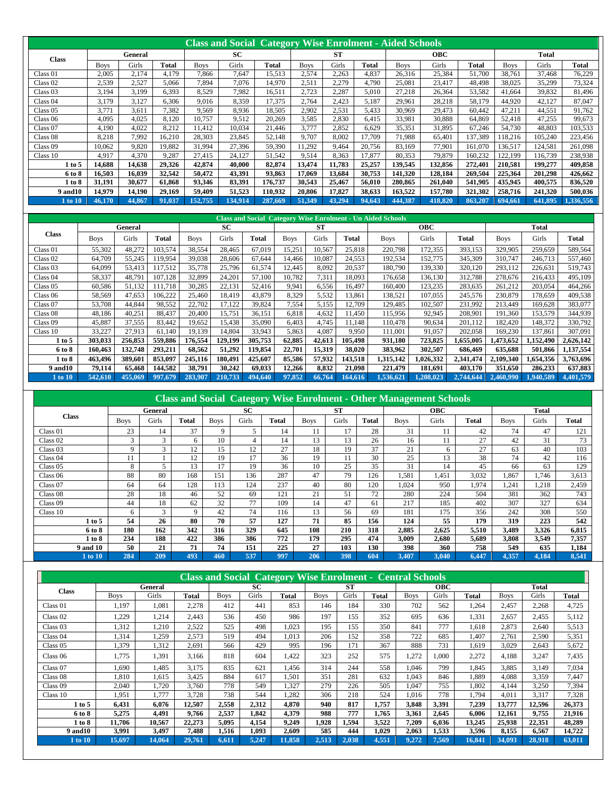|                 |             |         |              |             | <b>Class and Social Category Wise Enrolment - Aided Schools</b> |         |             |           |        |             |            |              |             |              |           |
|-----------------|-------------|---------|--------------|-------------|-----------------------------------------------------------------|---------|-------------|-----------|--------|-------------|------------|--------------|-------------|--------------|-----------|
| <b>Class</b>    |             | General |              |             | SC                                                              |         |             | <b>ST</b> |        |             | <b>OBC</b> |              |             | <b>Total</b> |           |
|                 | <b>Boys</b> | Girls   | <b>Total</b> | <b>Boys</b> | Girls                                                           | Total   | <b>Boys</b> | Girls     | Total  | <b>Boys</b> | Girls      | <b>Total</b> | <b>Boys</b> | Girls        | Total     |
| Class 01        | 2,005       | 2,174   | 4.179        | 7.866       | 7.647                                                           | 15,513  | 2,574       | 2,263     | 4,837  | 26,316      | 25,384     | 51,700       | 38,761      | 37.468       | 76,229    |
| Class 02        | 2,539       | 2,527   | 5.066        | 7,894       | 7,076                                                           | 14.970  | 2,511       | 2,279     | 4,790  | 25,081      | 23,417     | 48,498       | 38,025      | 35,299       | 73,324    |
| Class 03        | 3.194       | 3.199   | 6,393        | 8.529       | 7.982                                                           | 16,511  | 2,723       | 2,287     | 5,010  | 27,218      | 26,364     | 53,582       | 41,664      | 39,832       | 81,496    |
| Class 04        | 3.179       | 3.127   | 6.306        | 9.016       | 8.359                                                           | 17.375  | 2.764       | 2.423     | 5.187  | 29.961      | 28.218     | 58.179       | 44.920      | 42.127       | 87,047    |
| Class 05        | 3.771       | 3,611   | 7,382        | 9,569       | 8,936                                                           | 18,505  | 2,902       | 2,531     | 5,433  | 30,969      | 29,473     | 60,442       | 47,211      | 44,551       | 91,762    |
| Class 06        | 4,095       | 4,025   | 8.120        | 10.757      | 9,512                                                           | 20,269  | 3,585       | 2,830     | 6,415  | 33,981      | 30,888     | 64,869       | 52,418      | 47,255       | 99,673    |
| Class 07        | 4,190       | 4,022   | 8,212        | 11,412      | 10,034                                                          | 21.446  | 3.777       | 2,852     | 6,629  | 35,351      | 31,895     | 67,246       | 54,730      | 48,803       | 103,533   |
| Class 08        | 8,218       | 7.992   | 16,210       | 28,303      | 23.845                                                          | 52.148  | 9.707       | 8,002     | 17,709 | 71,988      | 65,401     | 137,389      | 118,216     | 105,240      | 223,456   |
| Class 09        | 10,062      | 9,820   | 19,882       | 31.994      | 27,396                                                          | 59,390  | 11,292      | 9,464     | 20,756 | 83,169      | 77,901     | 161,070      | 136,517     | 124,581      | 261,098   |
| Class 10        | 4.917       | 4,370   | 9,287        | 27.415      | 24,127                                                          | 51,542  | 9,514       | 8,363     | 17,877 | 80,353      | 79,879     | 160,232      | 122.199     | 116.739      | 238,938   |
| 1 to 5          | 14,688      | 14,638  | 29,326       | 42,874      | 40,000                                                          | 82,874  | 13,474      | 11,783    | 25,257 | 139,545     | 132,856    | 272,401      | 210,581     | 199,277      | 409,858   |
| 6 to 8          | 16,503      | 16.039  | 32,542       | 50.472      | 43,391                                                          | 93,863  | 17.069      | 13.684    | 30,753 | 141,320     | 128,184    | 269,504      | 225,364     | 201.298      | 426,662   |
| 1 to 8          | 31,191      | 30,677  | 61,868       | 93,346      | 83,391                                                          | 176.737 | 30,543      | 25,467    | 56,010 | 280,865     | 261,040    | 541,905      | 435,945     | 400,575      | 836,520   |
| <b>9 and 10</b> | 14.979      | 14.190  | 29,169       | 59,409      | 51,523                                                          | 110,932 | 20.806      | 17.827    | 38,633 | 163,522     | 157,780    | 321,302      | 258,716     | 241,320      | 500,036   |
| 1 to 10         | 46,170      | 44,867  | 91.037       | 152.755     | 134.914                                                         | 287,669 | 51.349      | 43.294    | 94,643 | 444.387     | 418,820    | 863.207      | 694.661     | 641.895      | 1.336.556 |

|                     |             |         |              |             |         |         |             |        |              | <b>Class and Social Category Wise Enrolment - Un Aided Schools</b> |            |           |             |           |              |
|---------------------|-------------|---------|--------------|-------------|---------|---------|-------------|--------|--------------|--------------------------------------------------------------------|------------|-----------|-------------|-----------|--------------|
|                     |             | General |              |             | SС      |         |             | ST     |              |                                                                    | <b>OBC</b> |           |             | Total     |              |
| Class               | <b>Boys</b> | Girls   | <b>Total</b> | <b>Boys</b> | Girls   | Total   | <b>Boys</b> | Girls  | <b>Total</b> | <b>Boys</b>                                                        | Girls      | Total     | <b>Boys</b> | Girls     | <b>Total</b> |
| Class 01            | 55,302      | 48,272  | 103,574      | 38,554      | 28,465  | 67,019  | 15,251      | 10,567 | 25,818       | 220,798                                                            | 172,355    | 393,153   | 329,905     | 259,659   | 589,564      |
| Class 02            | 64,709      | 55,245  | 119,954      | 39,038      | 28,606  | 67,644  | 14,466      | 10,087 | 24,553       | 192,534                                                            | 152,775    | 345,309   | 310,747     | 246,713   | 557,460      |
| Class <sub>03</sub> | 64,099      | 53,413  | 117,512      | 35,778      | 25,796  | 61,574  | 12,445      | 8,092  | 20,537       | 180,790                                                            | 139,330    | 320,120   | 293,112     | 226,631   | 519,743      |
| Class 04            | 58,337      | 48,791  | 107,128      | 32,899      | 24,201  | 57,100  | 10,782      | 7,311  | 18,093       | 176,658                                                            | 136,130    | 312,788   | 278,676     | 216,433   | 495,109      |
| Class 05            | 60,586      | 51,132  | 111.718      | 30,285      | 22,131  | 52,416  | 9,941       | 6,556  | 16,497       | 160,400                                                            | 123,235    | 283,635   | 261,212     | 203,054   | 464,266      |
| Class 06            | 58,569      | 47,653  | 106,222      | 25,460      | 18,419  | 43,879  | 8,329       | 5,532  | 13,861       | 138,521                                                            | 107.055    | 245,576   | 230,879     | 178.659   | 409,538      |
| Class 07            | 53,708      | 44,844  | 98,552       | 22,702      | 17,122  | 39,824  | 7,554       | 5,155  | 12,709       | 129,485                                                            | 102,507    | 231,992   | 213,449     | 169,628   | 383,077      |
| Class 08            | 48,186      | 40,251  | 88,437       | 20,400      | 15,751  | 36,151  | 6,818       | 4,632  | 11,450       | 115,956                                                            | 92,945     | 208,901   | 191,360     | 153,579   | 344,939      |
| Class 09            | 45,887      | 37,555  | 83,442       | 19,652      | 15,438  | 35,090  | 6,403       | 4,745  | 11.148       | 110,478                                                            | 90,634     | 201,112   | 182,420     | 148,372   | 330,792      |
| Class 10            | 33,227      | 27,913  | 61,140       | 19,139      | 14,804  | 33,943  | 5,863       | 4,087  | 9,950        | 111,001                                                            | 91,057     | 202,058   | 169,230     | 137,861   | 307,091      |
| $1$ to $5$          | 303,033     | 256,853 | 559,886      | 176,554     | 129,199 | 305,753 | 62,885      | 42,613 | 105,498      | 931,180                                                            | 723,825    | .655,005  | 1,473,652   | 1,152,490 | 2,626,142    |
| 6 to 8              | 160,463     | 132,748 | 293,211      | 68,562      | 51,292  | 119,854 | 22,701      | 15,319 | 38,020       | 383,962                                                            | 302,507    | 686,469   | 635,688     | 501,866   | 1,137,554    |
| 1 to 8              | 463.496     | 389,601 | 853,097      | 245,116     | 180.491 | 425,607 | 85,586      | 57,932 | 143,518      | 1,315,142                                                          | 1,026,332  | 2,341,474 | 2.109.340   | 1,654,356 | 3,763,696    |
| <b>9 and 10</b>     | 79,114      | 65,468  | 144,582      | 38,791      | 30,242  | 69,033  | 12,266      | 8,832  | 21,098       | 221,479                                                            | 181,691    | 403,170   | 351.650     | 286,233   | 637,883      |
| 1 to 10             | 542, 610    | 455,069 | 997,679      | 283,907     | 210,733 | 494.640 | 97,852      | 66,764 | 164,616      | 1,536,621                                                          | 1.208.023  | 2,744,644 | 2,460,990   | 1,940,589 | 4,401,579    |

|                     |             |         |       |             |       |       |             |       |       | <b>Class and Social Category Wise Enrolment - Other Management Schools</b> |            |       |             |       |              |
|---------------------|-------------|---------|-------|-------------|-------|-------|-------------|-------|-------|----------------------------------------------------------------------------|------------|-------|-------------|-------|--------------|
|                     |             | General |       |             | SС    |       |             | ST    |       |                                                                            | <b>OBC</b> |       |             | Total |              |
| <b>Class</b>        | <b>Boys</b> | Girls   | Total | <b>Boys</b> | Girls | Total | <b>Boys</b> | Girls | Total | <b>Boys</b>                                                                | Girls      | Total | <b>Boys</b> | Girls | <b>Total</b> |
| Class 01            | 23          | 14      | 37    | 9           | 5     | 14    |             | 17    | 28    | 31                                                                         | 11         | 42    | 74          | 47    | 121          |
| Class 02            | 3           | 3       | 6     | 10          | 4     | 14    | 13          | 13    | 26    | 16                                                                         | 11         | 27    | 42          | 31    | 73           |
| Class 03            | 9           | 3       | 12    | 15          | 12    | 27    | 18          | 19    | 37    | 21                                                                         | 6          | 27    | 63          | 40    | 103          |
| Class <sub>04</sub> | 11          |         | 12    | 19          | 17    | 36    | 19          | 11    | 30    | 25                                                                         | 13         | 38    | 74          | 42    | 116          |
| Class 05            | 8           |         | 13    | 17          | 19    | 36    | 10          | 25    | 35    | 31                                                                         | 14         | 45    | 66          | 63    | 129          |
| Class 06            | 88          | 80      | 168   | 151         | 136   | 287   | 47          | 79    | 126   | 1,581                                                                      | 1.451      | 3,032 | 1.867       | 1.746 | 3,613        |
| Class 07            | 64          | 64      | 128   | 113         | 124   | 237   | 40          | 80    | 120   | 1,024                                                                      | 950        | 1.974 | 1,241       | 1,218 | 2,459        |
| Class 08            | 28          | 18      | 46    | 52          | 69    | 121   | 21          | 51    | 72    | 280                                                                        | 224        | 504   | 381         | 362   | 743          |
| Class 09            | 44          | 18      | 62    | 32          | 77    | 109   | 14          | 47    | 61    | 217                                                                        | 185        | 402   | 307         | 327   | 634          |
| Class 10            | 6           | 3       | 9     | 42          | 74    | 116   | 13          | 56    | 69    | 181                                                                        | 175        | 356   | 242         | 308   | 550          |
| 1 to 5              | 54          | 26      | 80    | 70          | 57    | 127   | 71          | 85    | 156   | 124                                                                        | 55         | 179   | 319         | 223   | 542          |
| 6 to 8              | 180         | 162     | 342   | 316         | 329   | 645   | 108         | 210   | 318   | 2.885                                                                      | 2.625      | 5.510 | 3.489       | 3.326 | 6.815        |
| 1 to 8              | 234         | 188     | 422   | 386         | 386   | 772   | 179         | 295   | 474   | 3,009                                                                      | 2,680      | 5,689 | 3,808       | 3,549 | 7,357        |
| 9 and 10            | 50          | 21      | 71    | 74          | 151   | 225   | 27          | 103   | 130   | 398                                                                        | 360        | 758   | 549         | 635   | 1,184        |
| 1 to 10             | 284         | 209     | 493   | 460         | 537   | 997   | 206         | 398   | 604   | 3,407                                                                      | 3,040      | 6,447 | 4,357       | 4,184 | 8,541        |

|                     |             |         |        |             |       | <b>Class and Social Category Wise Enrolment - Central Schools</b> |             |           |       |             |            |        |             |        |        |
|---------------------|-------------|---------|--------|-------------|-------|-------------------------------------------------------------------|-------------|-----------|-------|-------------|------------|--------|-------------|--------|--------|
| <b>Class</b>        |             | General |        |             | SC    |                                                                   |             | <b>ST</b> |       |             | <b>OBC</b> |        |             | Total  |        |
|                     | <b>Boys</b> | Girls   | Total  | <b>Boys</b> | Girls | Total                                                             | <b>Boys</b> | Girls     | Total | <b>Boys</b> | Girls      | Total  | <b>Boys</b> | Girls  | Total  |
| Class 01            | 1,197       | 1,081   | 2,278  | 412         | 441   | 853                                                               | 146         | 184       | 330   | 702         | 562        | 1,264  | 2,457       | 2,268  | 4,725  |
| Class <sub>02</sub> | 1,229       | 1,214   | 2,443  | 536         | 450   | 986                                                               | 197         | 155       | 352   | 695         | 636        | 1,331  | 2,657       | 2,455  | 5,112  |
| Class <sub>03</sub> | 1,312       | 1,210   | 2,522  | 525         | 498   | 1,023                                                             | 195         | 155       | 350   | 841         | 777        | 1,618  | 2,873       | 2,640  | 5,513  |
| Class 04            | 1,314       | .259    | 2,573  | 519         | 494   | 1.013                                                             | 206         | 152       | 358   | 722         | 685        | 1.407  | 2,761       | 2,590  | 5,351  |
| Class 05            | 1,379       | 1,312   | 2,691  | 566         | 429   | 995                                                               | 196         | 171       | 367   | 888         | 731        | 1,619  | 3,029       | 2,643  | 5,672  |
| Class 06            | 1,775       | 1,391   | 3,166  | 818         | 604   | 1,422                                                             | 323         | 252       | 575   | 1,272       | 1,000      | 2,272  | 4,188       | 3,247  | 7,435  |
| Class 07            | 1.690       | 1.485   | 3.175  | 835         | 621   | 1.456                                                             | 314         | 244       | 558   | 1.046       | 799        | 1.845  | 3,885       | 3,149  | 7,034  |
| Class 08            | 1,810       | 1,615   | 3,425  | 884         | 617   | 1,501                                                             | 351         | 281       | 632   | 1.043       | 846        | 1,889  | 4,088       | 3,359  | 7,447  |
| Class 09            | 2,040       | .720    | 3.760  | 778         | 549   | 1,327                                                             | 279         | 226       | 505   | 1.047       | 755        | 1.802  | 4.144       | 3,250  | 7,394  |
| Class 10            | 1,951       | 1,777   | 3,728  | 738         | 544   | 1,282                                                             | 306         | 218       | 524   | 1,016       | 778        | 1,794  | 4,011       | 3,317  | 7,328  |
| 1 to 5              | 6,431       | 6,076   | 12,507 | 2,558       | 2,312 | 4,870                                                             | 940         | 817       | 1,757 | 3,848       | 3,391      | 7,239  | 13,777      | 12,596 | 26,373 |
| 6 to 8              | 5,275       | 4,491   | 9,766  | 2,537       | 1,842 | 4,379                                                             | 988         | 777       | 1,765 | 3,361       | 2,645      | 6,006  | 12,161      | 9,755  | 21,916 |
| 1 to 8              | 11.706      | 10.567  | 22,273 | 5.095       | 4,154 | 9,249                                                             | 1,928       | 1,594     | 3,522 | 7,209       | 6,036      | 13,245 | 25,938      | 22,351 | 48,289 |
| <b>9 and 10</b>     | 3,991       | 3,497   | 7,488  | 1,516       | 1,093 | 2,609                                                             | 585         | 444       | 1,029 | 2,063       | 1,533      | 3,596  | 8,155       | 6,567  | 14,722 |
| <b>1</b> to 10      | 15,697      | 14,064  | 29,761 | 6,611       | 5,247 | 11,858                                                            | 2,513       | 2,038     | 4,551 | 9,272       | 7,569      | 16,841 | 34,093      | 28,918 | 63,011 |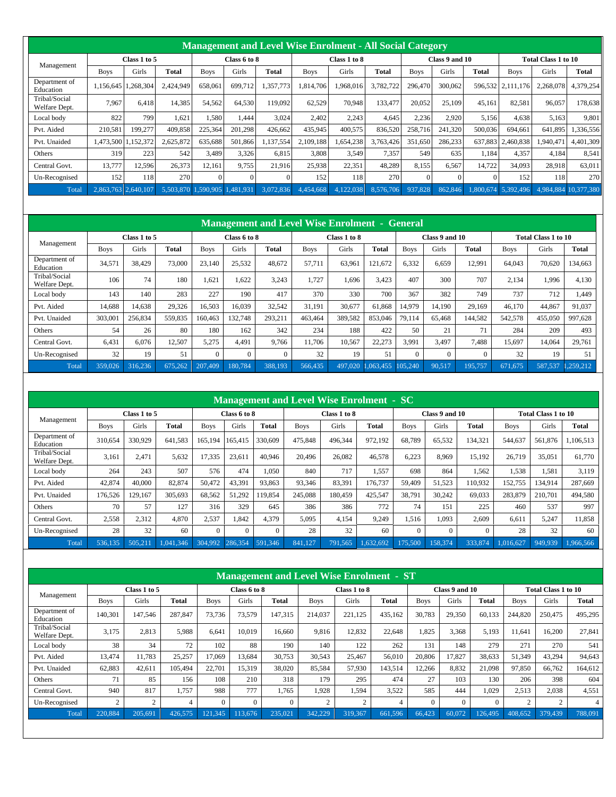|                                |             |                     |           |               |              |           | <b>Management and Level Wise Enrolment - All Social Category</b> |              |           |             |                |              |                   |                     |            |
|--------------------------------|-------------|---------------------|-----------|---------------|--------------|-----------|------------------------------------------------------------------|--------------|-----------|-------------|----------------|--------------|-------------------|---------------------|------------|
|                                |             | Class 1 to 5        |           |               | Class 6 to 8 |           |                                                                  | Class 1 to 8 |           |             | Class 9 and 10 |              |                   | Total Class 1 to 10 |            |
| Management                     | <b>Boys</b> | Girls               | Total     | <b>Boys</b>   | Girls        | Total     | <b>Boys</b>                                                      | Girls        | Total     | <b>Boys</b> | Girls          | <b>Total</b> | <b>Boys</b>       | Girls               | Total      |
| Department of<br>Education     | 1.156.645   | 1.268.304           | 2.424.949 | 658,061       | 699.712      | 1.357.773 | 1.814.706                                                        | 1.968.016    | 3.782.722 | 296,470     | 300,062        |              | 596.532 2.111.176 | 2.268.078           | 4,379,254  |
| Tribal/Social<br>Welfare Dept. | 7,967       | 6.418               | 14,385    | 54,562        | 64,530       | 119,092   | 62,529                                                           | 70,948       | 133,477   | 20,052      | 25,109         | 45.161       | 82,581            | 96,057              | 178,638    |
| Local body                     | 822         | 799                 | 1.621     | 1,580         | 1,444        | 3.024     | 2.402                                                            | 2,243        | 4,645     | 2,236       | 2.920          | 5,156        | 4,638             | 5,163               | 9,801      |
| Pvt. Aided                     | 210,581     | 199,277             | 409.858   | 225,364       | 201.298      | 426.662   | 435.945                                                          | 400,575      | 836,520   | 258,716     | 241,320        | 500,036      | 694.661           | 641,895             | 1,336,556  |
| Pvt. Unaided                   |             | 1.473.500 1.152.372 | 2,625,872 | 635.688       | 501.866      | 1,137,554 | 2.109.188                                                        | 1.654.238    | 3.763.426 | 351.650     | 286,233        | 637.883      | 2.460.838         | 1,940,471           | 4,401,309  |
| Others                         | 319         | 223                 | 542       | 3.489         | 3,326        | 6.815     | 3.808                                                            | 3.549        | 7,357     | 549         | 635            | 1.184        | 4,357             | 4.184               | 8,541      |
| Central Govt.                  | 13,777      | 12,596              | 26,373    | 12.161        | 9,755        | 21,916    | 25,938                                                           | 22,351       | 48,289    | 8,155       | 6,567          | 14,722       | 34,093            | 28,918              | 63,011     |
| Un-Recognised                  | 152         | 118                 | 270       |               |              | $\Omega$  | 152                                                              | 118          | 270       |             | 0              |              | 152               | 118                 | 270        |
| Total                          |             | 2.863.763 2.640.107 | 5.503.870 | $.590.905$  1 | .481.931     | 3,072,836 | 4.454.668                                                        | 4,122,038    | 8,576,706 | 937,828     | 862,846        | 1.800.674    | 5,392,496         | 4,984,884           | 10.377.380 |

|                                |             |              |         |             |              |         | <b>Management and Level Wise Enrolment - General</b> |              |           |             |                |          |             |                     |           |
|--------------------------------|-------------|--------------|---------|-------------|--------------|---------|------------------------------------------------------|--------------|-----------|-------------|----------------|----------|-------------|---------------------|-----------|
|                                |             | Class 1 to 5 |         |             | Class 6 to 8 |         |                                                      | Class 1 to 8 |           |             | Class 9 and 10 |          |             | Total Class 1 to 10 |           |
| Management                     | <b>Boys</b> | Girls        | Total   | <b>Boys</b> | Girls        | Total   | <b>Boys</b>                                          | Girls        | Total     | <b>Boys</b> | Girls          | Total    | <b>Boys</b> | Girls               | Total     |
| Department of<br>Education     | 34,571      | 38.429       | 73,000  | 23,140      | 25,532       | 48.672  | 57.711                                               | 63,961       | 121,672   | 6,332       | 6,659          | 12,991   | 64.043      | 70,620              | 134,663   |
| Tribal/Social<br>Welfare Dept. | 106         | 74           | 180     | 1.62        | .622         | 3.243   | 1.727                                                | 1.696        | 3.423     | 407         | 300            | 707      | 2.134       | 1.996               | 4,130     |
| Local body                     | 143         | 140          | 283     | 227         | 190          | 417     | 370                                                  | 330          | 700       | 367         | 382            | 749      | 737         | 712                 | 1,449     |
| Pvt. Aided                     | 14.688      | 14,638       | 29,326  | 16,503      | 16.039       | 32,542  | 31.191                                               | 30,677       | 61,868    | 14,979      | 14.190         | 29.169   | 46,170      | 44.867              | 91,037    |
| Pvt. Unaided                   | 303,001     | 256,834      | 559,835 | 160.463     | 132,748      | 293,211 | 463,464                                              | 389,582      | 853,046   | 79.114      | 65,468         | 144,582  | 542,578     | 455,050             | 997.628   |
| Others                         | 54          | 26           | 80      | 180         | 162          | 342     | 234                                                  | 188          | 422       | 50          | 21             | 71       | 284         | 209                 | 493       |
| Central Govt.                  | 6,431       | 6.076        | 12,507  | 5,275       | 4,491        | 9.766   | 11.706                                               | 10,567       | 22,273    | 3,991       | 3,497          | 7.488    | 15,697      | 14,064              | 29,761    |
| Un-Recognised                  | 32          | 19           | 51      | $\theta$    | $\Omega$     |         | 32                                                   | 19           | 51        | $\Omega$    | $\Omega$       | $\Omega$ | 32          | 19                  | 51        |
| Total                          | 359,026     | 316.236      | 675.262 | 207,409     | 180,784      | 388,193 | 566,435                                              | 497,020      | 1.063.455 | 105.240     | 90,517         | 195,757  | 671.675     | 587,537             | 1.259.212 |

|                                |             |              |           |             |              |          | Management and Level Wise Enrolment - SC |              |           |             |                |          |             |                            |           |
|--------------------------------|-------------|--------------|-----------|-------------|--------------|----------|------------------------------------------|--------------|-----------|-------------|----------------|----------|-------------|----------------------------|-----------|
|                                |             | Class 1 to 5 |           |             | Class 6 to 8 |          |                                          | Class 1 to 8 |           |             | Class 9 and 10 |          |             | <b>Total Class 1 to 10</b> |           |
| Management                     | <b>Boys</b> | Girls        | Total     | <b>Boys</b> | Girls        | Total    | <b>Boys</b>                              | Girls        | Total     | <b>Boys</b> | Girls          | Total    | <b>Boys</b> | Girls                      | Total     |
| Department of<br>Education     | 310,654     | 330.929      | 641.583   | 165.194     | 165.415      | 330,609  | 475,848                                  | 496.344      | 972,192   | 68,789      | 65,532         | 134,321  | 544,637     | 561,876                    | 1,106,513 |
| Tribal/Social<br>Welfare Dept. | 3,161       | 2,471        | 5,632     | 17,335      | 23,611       | 40.946   | 20.496                                   | 26,082       | 46.578    | 6,223       | 8.969          | 15.192   | 26.719      | 35,051                     | 61,770    |
| Local body                     | 264         | 243          | 507       | 576         | 474          | 1.050    | 840                                      | 717          | 1,557     | 698         | 864            | 1,562    | 1,538       | 1,581                      | 3.119     |
| Pvt. Aided                     | 42,874      | 40,000       | 82,874    | 50,472      | 43,391       | 93,863   | 93,346                                   | 83,391       | 176.737   | 59,409      | 51,523         | 110.932  | 152,755     | 134,914                    | 287,669   |
| Pvt. Unaided                   | 176,526     | 129,167      | 305,693   | 68,562      | 51,292       | 119,854  | 245.088                                  | 180,459      | 425,547   | 38,791      | 30,242         | 69,033   | 283,879     | 210,701                    | 494,580   |
| Others                         | 70          | 57           | 127       | 316         | 329          | 645      | 386                                      | 386          | 772       | 74          | 151            | 225      | 460         | 537                        | 997       |
| Central Govt.                  | 2,558       | 2,312        | 4,870     | 2,537       | 1,842        | 4,379    | 5,095                                    | 4,154        | 9,249     | 1,516       | 1,093          | 2,609    | 6,611       | 5,247                      | 11,858    |
| Un-Recognised                  | 28          | 32           | 60        | $\Omega$    | $\Omega$     | $\Omega$ | 28                                       | 32           | 60        | $\Omega$    | $\Omega$       | $\Omega$ | 28          | 32                         | 60        |
| Total                          | 536,135     | 505,211      | 1.041.346 | 304,992     | 286,354      | 591,346  | 841.127                                  | 791,565      | 1,632,692 | 175,500     | 158,374        | 333,874  | 1,016,627   | 949,939                    | 1,966,566 |

|                                |             |                |              |             |              |         | <b>Management and Level Wise Enrolment - ST</b> |              |              |             |                |          |             |                            |         |
|--------------------------------|-------------|----------------|--------------|-------------|--------------|---------|-------------------------------------------------|--------------|--------------|-------------|----------------|----------|-------------|----------------------------|---------|
|                                |             | Class 1 to 5   |              |             | Class 6 to 8 |         |                                                 | Class 1 to 8 |              |             | Class 9 and 10 |          |             | <b>Total Class 1 to 10</b> |         |
| Management                     | <b>Boys</b> | Girls          | <b>Total</b> | <b>Boys</b> | Girls        | Total   | <b>Boys</b>                                     | Girls        | <b>Total</b> | <b>Boys</b> | Girls          | Total    | <b>Boys</b> | Girls                      | Total   |
| Department of<br>Education     | 140.301     | 147.546        | 287,847      | 73.736      | 73.579       | 147.315 | 214,037                                         | 221.125      | 435.162      | 30.783      | 29.350         | 60.133   | 244,820     | 250,475                    | 495.295 |
| Tribal/Social<br>Welfare Dept. | 3,175       | 2.813          | 5.988        | 6.641       | 10.019       | 16.660  | 9.816                                           | 12.832       | 22,648       | 1,825       | 3,368          | 5,193    | 11.641      | 16,200                     | 27,841  |
| Local body                     | 38          | 34             | 72           | 102         | 88           | 190     | 140                                             | 122          | 262          | 131         | 148            | 279      | 271         | 270                        | 541     |
| Pvt. Aided                     | 13,474      | 11.783         | 25,257       | 17,069      | 13,684       | 30,753  | 30,543                                          | 25,467       | 56.010       | 20,806      | 17,827         | 38,633   | 51,349      | 43,294                     | 94,643  |
| Pvt. Unaided                   | 62.883      | 42.611         | 105,494      | 22,701      | 15.319       | 38,020  | 85.584                                          | 57.930       | 143.514      | 12.266      | 8.832          | 21.098   | 97.850      | 66,762                     | 164.612 |
| Others                         | 71          | 85             | 156          | 108         | 210          | 318     | 179                                             | 295          | 474          | 27          | 103            | 130      | 206         | 398                        | 604     |
| Central Govt.                  | 940         | 817            | 1.757        | 988         | 777          | 1.765   | 1.928                                           | 1.594        | 3.522        | 585         | 444            | 1.029    | 2,513       | 2,038                      | 4,551   |
| Un-Recognised                  | 2           | $\overline{c}$ |              | $\Omega$    | $\Omega$     |         | 2                                               | 2            |              | $\Omega$    | $\Omega$       | $\Omega$ | 2           | 2                          | 4       |
| Total                          | 220,884     | 205,691        | 426,575      | 121,345     | 113,676      | 235,021 | 342,229                                         | 319,367      | 661,596      | 66,423      | 60,072         | 126,495  | 408,652     | 379,439                    | 788,091 |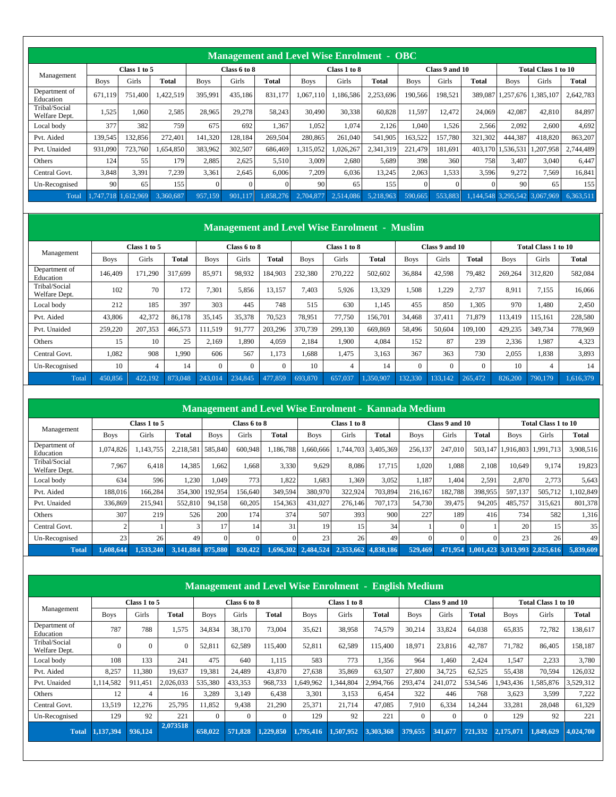|                                |             |              |           |             |              | <b>Management and Level Wise Enrolment - OBC</b> |             |              |           |             |                |         |                   |                               |           |
|--------------------------------|-------------|--------------|-----------|-------------|--------------|--------------------------------------------------|-------------|--------------|-----------|-------------|----------------|---------|-------------------|-------------------------------|-----------|
|                                |             | Class 1 to 5 |           |             | Class 6 to 8 |                                                  |             | Class 1 to 8 |           |             | Class 9 and 10 |         |                   | Total Class 1 to 10           |           |
| Management                     | <b>Boys</b> | Girls        | Total     | <b>Boys</b> | Girls        | Total                                            | <b>Boys</b> | Girls        | Total     | <b>Boys</b> | Girls          | Total   | <b>Boys</b>       | Girls                         | Total     |
| Department of<br>Education     | 671.119     | 751.400      | 1,422,519 | 395,991     | 435,186      | 831.177                                          | 1,067,110   | 1,186,586    | 2,253,696 | 190,566     | 198,521        | 389,087 |                   | 1,257,676 1,385,107           | 2,642,783 |
| Tribal/Social<br>Welfare Dept. | 1,525       | 1,060        | 2,585     | 28,965      | 29,278       | 58,243                                           | 30,490      | 30,338       | 60,828    | 11,597      | 12,472         | 24,069  | 42,087            | 42,810                        | 84,897    |
| Local body                     | 377         | 382          | 759       | 675         | 692          | 1,367                                            | 1,052       | 1,074        | 2,126     | 1,040       | 1,526          | 2,566   | 2,092             | 2,600                         | 4,692     |
| Pvt. Aided                     | 139,545     | 132,856      | 272.401   | 141,320     | 128,184      | 269.504                                          | 280,865     | 261.040      | 541.905   | 163,522     | 157,780        | 321,302 | 444.387           | 418,820                       | 863,207   |
| Pvt. Unaided                   | 931,090     | 723,760      | ,654,850  | 383.962     | 302,507      | 686,469                                          | 1,315,052   | 0.026, 267   | 2,341,319 | 221,479     | 181.691        |         | 403,170 1,536,531 | ,207,958                      | 2,744,489 |
| Others                         | 124         | 55           | 179       | 2,885       | 2,625        | 5,510                                            | 3,009       | 2,680        | 5,689     | 398         | 360            | 758     | 3,407             | 3.040                         | 6.447     |
| Central Govt.                  | 3,848       | 3,391        | 7,239     | 3,361       | 2,645        | 6.006                                            | 7,209       | 6,036        | 13,245    | 2,063       | 1,533          | 3,596   | 9,272             | 7,569                         | 16,841    |
| Un-Recognised                  | 90          | 65           | 155       | $\Omega$    | 0            | $\Omega$                                         | 90          | 65           | 155       |             | 0              |         | 90                | 65                            | 155       |
| Total                          | 747.718     | .612.969     | 3,360,687 | 957.159     | 901,117      | 1.858.276                                        | 2.704.877   | 2.514.086    | 5.218.963 | 590.665     | 553,883        |         |                   | 1,144,548 3,295,542 3,067,969 | 6,363,511 |

| Management                     |             | Class 1 to 5 |              |             | Class 6 to 8 |              |             | Class 1 to 8 |           |             | Class 9 and 10 |          |             | Total Class 1 to 10 |           |
|--------------------------------|-------------|--------------|--------------|-------------|--------------|--------------|-------------|--------------|-----------|-------------|----------------|----------|-------------|---------------------|-----------|
|                                | <b>Boys</b> | Girls        | <b>Total</b> | <b>Boys</b> | Girls        | <b>Total</b> | <b>Boys</b> | Girls        | Total     | <b>Boys</b> | Girls          | Total    | <b>Boys</b> | Girls               | Total     |
| Department of<br>Education     | 146,409     | 171.290      | 317,699      | 85,971      | 98.932       | 184.903      | 232,380     | 270,222      | 502,602   | 36,884      | 42,598         | 79.482   | 269,264     | 312,820             | 582,084   |
| Tribal/Social<br>Welfare Dept. | 102         | 70           | 172          | 7,301       | 5,856        | 13.157       | 7.403       | 5,926        | 13,329    | 1,508       | 1,229          | 2.737    | 8.911       | 7.155               | 16.066    |
| Local body                     | 212         | 185          | 397          | 303         | 445          | 748          | 515         | 630          | 1,145     | 455         | 850            | .305     | 970         | 1.480               | 2,450     |
| Pvt. Aided                     | 43.806      | 42,372       | 86.178       | 35,145      | 35,378       | 70.523       | 78.951      | 77.750       | 156.701   | 34,468      | 37.411         | 71.879   | 113.419     | 115.161             | 228,580   |
| Pvt. Unaided                   | 259,220     | 207,353      | 466,573      | 111,519     | 91,777       | 203,296      | 370,739     | 299,130      | 669,869   | 58,496      | 50,604         | 109,100  | 429,235     | 349,734             | 778.969   |
| Others                         | 15          | 10           | 25           | 2,169       | 1.890        | 4.059        | 2.184       | 1.900        | 4,084     | 152         | 87             | 239      | 2,336       | 1,987               | 4,323     |
| Central Govt.                  | 1,082       | 908          | 1,990        | 606         | 567          | 1,173        | 1.688       | 1,475        | 3,163     | 367         | 363            | 730      | 2,055       | 1,838               | 3,893     |
| Un-Recognised                  | 10          |              | 14           | $\Omega$    | $\theta$     | $\Omega$     | 10          | 4            | 14        | 0           | $\Omega$       | $\Omega$ | 10          | 4                   | 14        |
| Total                          | 450,856     | 422.192      | 873,048      | 243.014     | 234,845      | 477,859      | 693,870     | 657,037      | 1.350.907 | 132.330     | 133,142        | 265,472  | 826,200     | 790,179             | 1.616.379 |

|                                |             |              |                   |             |              | <b>Management and Level Wise Enrolment - Kannada Medium</b> |                     |              |                     |             |                |                                       |             |                            |           |
|--------------------------------|-------------|--------------|-------------------|-------------|--------------|-------------------------------------------------------------|---------------------|--------------|---------------------|-------------|----------------|---------------------------------------|-------------|----------------------------|-----------|
|                                |             | Class 1 to 5 |                   |             | Class 6 to 8 |                                                             |                     | Class 1 to 8 |                     |             | Class 9 and 10 |                                       |             | <b>Total Class 1 to 10</b> |           |
| Management                     | <b>Boys</b> | Girls        | Total             | <b>Boys</b> | Girls        | Total                                                       | <b>Boys</b>         | Girls        | Total               | <b>Boys</b> | Girls          | Total                                 | <b>Boys</b> | Girls                      | Total     |
| Department of<br>Education     | 1.074.826   | .143.755     | 2.218.581         | 585,840     | 600,948      | .186.788                                                    | .660.666            | 1.744.703    | 3.405.369           | 256,137     | 247,010        | 503.147                               |             | 1.916.803 1.991.713        | 3.908.516 |
| Tribal/Social<br>Welfare Dept. | 7,967       | 6,418        | 14,385            | 1,662       | 1,668        | 3,330                                                       | 9,629               | 8.086        | 17.715              | 1.020       | 1,088          | 2,108                                 | 10.649      | 9,174                      | 19,823    |
| Local body                     | 634         | 596          | 1,230             | 1.049       | 773          | 1.822                                                       | 1,683               | 1.369        | 3.052               | 1.187       | 1.404          | 2,591                                 | 2,870       | 2,773                      | 5,643     |
| Pvt. Aided                     | 188,016     | 166.284      | 354,300           | 192.954     | 156,640      | 349.594                                                     | 380,970             | 322,924      | 703,894             | 216.167     | 182.788        | 398,955                               | 597.137     | 505,712                    | ,102,849  |
| Pvt. Unaided                   | 336,869     | 215.941      | 552,810           | 94,158      | 60,205       | 154,363                                                     | 431,027             | 276.146      | 707.173             | 54,730      | 39,475         | 94,205                                | 485,757     | 315,621                    | 801,378   |
| Others                         | 307         | 219          | 526               | 200         | 174          | 374                                                         | 507                 | 393          | 900                 | 227         | 189            | 416                                   | 734         | 582                        | 1.316     |
| Central Govt.                  |             |              |                   | 17          | 14           | 31                                                          | 19                  | 15           | 34                  |             |                |                                       | 20          | 15                         | 35        |
| Un-Recognised                  | 23          | 26           | 49                | $\Omega$    |              |                                                             | 23                  | 26           | 49                  | $\Omega$    |                |                                       | 23          | 26                         | 49        |
| <b>Total</b>                   | 1.608.644   | 1.533.240    | 3.141.884 875.880 |             | 820,422      |                                                             | 1,696,302 2,484,524 |              | 2,353,662 4,838,186 | 529,469     |                | 471.954 1.001.423 3.013.993 2.825.616 |             |                            | 5,839,609 |

|                                |             |              |           |             |              |           |             |              | <b>Management and Level Wise Enrolment - English Medium</b> |             |                |          |             |                            |           |
|--------------------------------|-------------|--------------|-----------|-------------|--------------|-----------|-------------|--------------|-------------------------------------------------------------|-------------|----------------|----------|-------------|----------------------------|-----------|
|                                |             | Class 1 to 5 |           |             | Class 6 to 8 |           |             | Class 1 to 8 |                                                             |             | Class 9 and 10 |          |             | <b>Total Class 1 to 10</b> |           |
| Management                     | <b>Boys</b> | Girls        | Total     | <b>Boys</b> | Girls        | Total     | <b>Boys</b> | Girls        | Total                                                       | <b>Boys</b> | Girls          | Total    | <b>Boys</b> | Girls                      | Total     |
| Department of<br>Education     | 787         | 788          | 1,575     | 34,834      | 38,170       | 73,004    | 35,621      | 38.958       | 74,579                                                      | 30,214      | 33,824         | 64,038   | 65,835      | 72,782                     | 138,617   |
| Tribal/Social<br>Welfare Dept. | $\Omega$    | $\mathbf{0}$ |           | 52,811      | 62,589       | 115,400   | 52,811      | 62,589       | 115,400                                                     | 18,971      | 23.816         | 42.787   | 71.782      | 86.405                     | 158.187   |
| Local body                     | 108         | 133          | 241       | 475         | 640          | 1.115     | 583         | 773          | 1.356                                                       | 964         | 1.460          | 2,424    | 1,547       | 2,233                      | 3.780     |
| Pvt. Aided                     | 8,257       | 11,380       | 19,637    | 19,381      | 24.489       | 43,870    | 27,638      | 35,869       | 63,507                                                      | 27,800      | 34,725         | 62,525   | 55,438      | 70,594                     | 126,032   |
| Pvt. Unaided                   | 1,114,582   | 911.451      | 2,026,033 | 535,380     | 433,353      | 968,733   | .649.962    | .344,804     | 2,994,766                                                   | 293.474     | 241,072        | 534,546  | .943.436    | .585,876                   | 3,529,312 |
| Others                         | 12          | 4            | 16        | 3,289       | 3,149        | 6,438     | 3,301       | 3,153        | 6,454                                                       | 322         | 446            | 768      | 3,623       | 3,599                      | 7,222     |
| Central Govt.                  | 13,519      | 12,276       | 25,795    | 11,852      | 9,438        | 21,290    | 25,371      | 21,714       | 47.085                                                      | 7,910       | 6,334          | 14,244   | 33,281      | 28,048                     | 61,329    |
| Un-Recognised                  | 129         | 92           | 221       | $\Omega$    | 0            | $\Omega$  | 129         | 92           | 221                                                         | $\Omega$    | $\Omega$       | $\Omega$ | 129         | 92                         | 221       |
| <b>Total</b>                   | 1.137.394   | 936.124      | 2,073518  | 658,022     | 571,828      | 1.229.850 | 1.795.416   | 1.507.952    | 3.303.368                                                   | 379,655     | 341,677        | 721.332  | 2.175.071   | 1.849.629                  | 4.024.700 |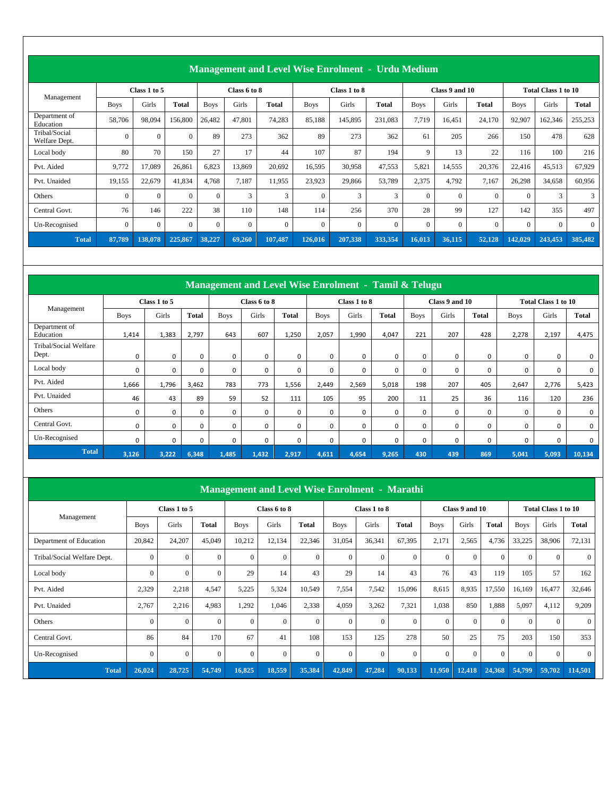|                                |             |              |              |             |              | <b>Management and Level Wise Enrolment - Urdu Medium</b> |             |              |              |             |                |              |             |                     |              |
|--------------------------------|-------------|--------------|--------------|-------------|--------------|----------------------------------------------------------|-------------|--------------|--------------|-------------|----------------|--------------|-------------|---------------------|--------------|
|                                |             | Class 1 to 5 |              |             | Class 6 to 8 |                                                          |             | Class 1 to 8 |              |             | Class 9 and 10 |              |             | Total Class 1 to 10 |              |
| Management                     | <b>Boys</b> | Girls        | <b>Total</b> | <b>Boys</b> | Girls        | Total                                                    | <b>Boys</b> | Girls        | <b>Total</b> | <b>Boys</b> | Girls          | <b>Total</b> | <b>Boys</b> | Girls               | <b>Total</b> |
| Department of<br>Education     | 58,706      | 98,094       | 156,800      | 26,482      | 47,801       | 74,283                                                   | 85,188      | 145,895      | 231,083      | 7,719       | 16,451         | 24,170       | 92,907      | 162,346             | 255,253      |
| Tribal/Social<br>Welfare Dept. | $\Omega$    | $\Omega$     | $\Omega$     | 89          | 273          | 362                                                      | 89          | 273          | 362          | 61          | 205            | 266          | 150         | 478                 | 628          |
| Local body                     | 80          | 70           | 150          | 27          | 17           | 44                                                       | 107         | 87           | 194          | 9           | 13             | 22           | 116         | 100                 | 216          |
| Pvt. Aided                     | 9,772       | 17,089       | 26,861       | 6,823       | 13,869       | 20,692                                                   | 16,595      | 30,958       | 47,553       | 5,821       | 14,555         | 20,376       | 22,416      | 45,513              | 67,929       |
| Pvt. Unaided                   | 19,155      | 22,679       | 41,834       | 4,768       | 7,187        | 11,955                                                   | 23,923      | 29,866       | 53,789       | 2,375       | 4,792          | 7,167        | 26,298      | 34,658              | 60,956       |
| Others                         | $\Omega$    | $\Omega$     | $\Omega$     | $\Omega$    | 3            | 3                                                        | $\theta$    | 3            | 3            | $\Omega$    | $\theta$       | $\Omega$     | $\Omega$    | 3                   | 3            |
| Central Govt.                  | 76          | 146          | 222          | 38          | 110          | 148                                                      | 114         | 256          | 370          | 28          | 99             | 127          | 142         | 355                 | 497          |
| Un-Recognised                  | $\Omega$    | $\Omega$     | $\Omega$     | $\Omega$    | $\Omega$     | $\Omega$                                                 | $\Omega$    | $\Omega$     | $\mathbf{0}$ | $\Omega$    | $\Omega$       | $\Omega$     | $\Omega$    | $\Omega$            | $\theta$     |
| <b>Total</b>                   | 87,789      | 138,078      | 225,867      | 38,227      | 69,260       | 107,487                                                  | 126,016     | 207,338      | 333,354      | 16,013      | 36,115         | 52,128       | 142,029     | 243,453             | 385,482      |

|                                |             |              |              |             | Management and Level Wise Enrolment - Tamil & Telugu |          |             |              |              |             |                |              |             |                            |              |
|--------------------------------|-------------|--------------|--------------|-------------|------------------------------------------------------|----------|-------------|--------------|--------------|-------------|----------------|--------------|-------------|----------------------------|--------------|
|                                |             | Class 1 to 5 |              |             | Class 6 to 8                                         |          |             | Class 1 to 8 |              |             | Class 9 and 10 |              |             | <b>Total Class 1 to 10</b> |              |
| Management                     | <b>Boys</b> | Girls        | <b>Total</b> | <b>Boys</b> | Girls                                                | Total    | <b>Boys</b> | Girls        | <b>Total</b> | <b>Boys</b> | Girls          | <b>Total</b> | <b>Boys</b> | Girls                      | <b>Total</b> |
| Department of<br>Education     | 1,414       | 1,383        | 2,797        | 643         | 607                                                  | 1,250    | 2,057       | 1,990        | 4,047        | 221         | 207            | 428          | 2,278       | 2,197                      | 4,475        |
| Tribal/Social Welfare<br>Dept. | 0           | $\mathbf 0$  | $\Omega$     | 0           | $\Omega$                                             | 0        | 0           | 0            | 0            | 0           | 0              | 0            | 0           | 0                          | 0            |
| Local body                     | 0           | 0            | $\Omega$     | 0           | $\Omega$                                             | 0        | 0           | 0            | $\mathbf 0$  | 0           | 0              | 0            | 0           | 0                          | 0            |
| Pvt. Aided                     | 1,666       | 1,796        | 3,462        | 783         | 773                                                  | 1,556    | 2,449       | 2,569        | 5,018        | 198         | 207            | 405          | 2,647       | 2,776                      | 5,423        |
| Pvt. Unaided                   | 46          | 43           | 89           | 59          | 52                                                   | 111      | 105         | 95           | 200          | 11          | 25             | 36           | 116         | 120                        | 236          |
| Others                         | 0           | 0            | $\Omega$     | 0           | $\mathbf 0$                                          | 0        | 0           | 0            | 0            | 0           | 0              | 0            | 0           | 0                          | 0            |
| Central Govt.                  | $\mathbf 0$ | $\mathbf 0$  | $\Omega$     | $\Omega$    | $\Omega$                                             | $\Omega$ | $\Omega$    | $\mathbf 0$  | $\mathbf 0$  | 0           | 0              | 0            | 0           | 0                          | 0            |
| Un-Recognised                  | 0           | 0            | $\mathbf 0$  | 0           | $\mathbf 0$                                          | 0        | 0           | 0            | 0            | 0           | 0              | 0            | 0           | 0                          | 0            |
| <b>Total</b>                   | 3,126       | 3,222        | 6,348        | 1,485       | 1,432                                                | 2,917    | 4,611       | 4,654        | 9,265        | 430         | 439            | 869          | 5,041       | 5,093                      | 10,134       |

|                             |              |                |              |              |              | <b>Management and Level Wise Enrolment - Marathi</b> |              |              |          |             |                |                |              |                            |              |
|-----------------------------|--------------|----------------|--------------|--------------|--------------|------------------------------------------------------|--------------|--------------|----------|-------------|----------------|----------------|--------------|----------------------------|--------------|
|                             |              | Class 1 to 5   |              |              | Class 6 to 8 |                                                      |              | Class 1 to 8 |          |             | Class 9 and 10 |                |              | <b>Total Class 1 to 10</b> |              |
| Management                  | <b>Boys</b>  | Girls          | <b>Total</b> | <b>Boys</b>  | Girls        | <b>Total</b>                                         | <b>Boys</b>  | Girls        | Total    | <b>Boys</b> | Girls          | <b>Total</b>   | <b>Boys</b>  | Girls                      | <b>Total</b> |
| Department of Education     | 20,842       | 24,207         | 45,049       | 10,212       | 12,134       | 22,346                                               | 31,054       | 36,341       | 67,395   | 2,171       | 2,565          | 4,736          | 33,225       | 38,906                     | 72,131       |
| Tribal/Social Welfare Dept. | $\mathbf{0}$ | $\overline{0}$ | $\mathbf{0}$ | $\mathbf{0}$ | $\mathbf{0}$ | $\overline{0}$                                       | $\mathbf{0}$ | $\Omega$     | $\Omega$ | $\Omega$    | $\Omega$       | $\overline{0}$ | $\mathbf{0}$ | $\Omega$                   | $\Omega$     |
| Local body                  | $\mathbf{0}$ | $\overline{0}$ | $\theta$     | 29           | 14           | 43                                                   | 29           | 14           | 43       | 76          | 43             | 119            | 105          | 57                         | 162          |
| Pvt. Aided                  | 2,329        | 2,218          | 4,547        | 5,225        | 5,324        | 10,549                                               | 7,554        | 7,542        | 15,096   | 8,615       | 8,935          | 17,550         | 16,169       | 16,477                     | 32,646       |
| Pvt. Unaided                | 2,767        | 2,216          | 4,983        | 1,292        | 1,046        | 2,338                                                | 4,059        | 3,262        | 7,321    | 1,038       | 850            | 1,888          | 5,097        | 4,112                      | 9,209        |
| Others                      | $\mathbf{0}$ | $\Omega$       | $\Omega$     | $\Omega$     | $\Omega$     | $\overline{0}$                                       | $\mathbf{0}$ | $\Omega$     | $\Omega$ | $\Omega$    | $\Omega$       | $\overline{0}$ | $\Omega$     | $\Omega$                   | $\Omega$     |
| Central Govt.               | 86           | 84             | 170          | 67           | 41           | 108                                                  | 153          | 125          | 278      | 50          | 25             | 75             | 203          | 150                        | 353          |
| Un-Recognised               | $\Omega$     | $\Omega$       | $\Omega$     | $\Omega$     | $\Omega$     | $\theta$                                             | $\mathbf{0}$ | $\Omega$     | $\Omega$ | $\Omega$    | $\Omega$       | $\theta$       | $\Omega$     | $\theta$                   | $\Omega$     |
| <b>Total</b>                | 26,024       | 28,725         | 54,749       | 16,825       | 18,559       | 35,384                                               | 42,849       | 47,284       | 90,133   | 11,950      | 12,418         | 24,368         | 54,799       | 59,702                     | 114,501      |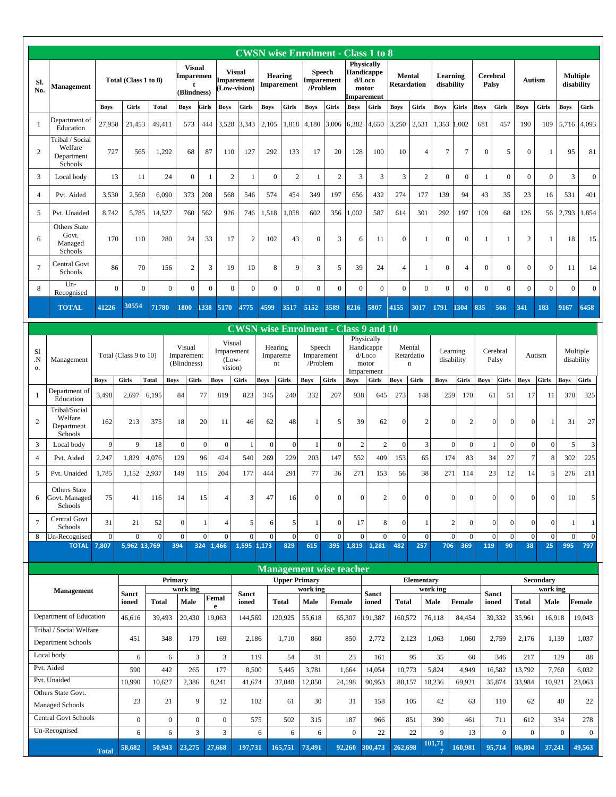|                     |                                                      |                       |                              |                |                                     |                                                  |                                             |                                                   |                           |                              |                                         |                       |                         | <b>CWSN</b> wise Enrolment - Class 1 to 8                        |                                     |                                     |                        |                                         |                  |                                        |                      |                                        |                  |                               |
|---------------------|------------------------------------------------------|-----------------------|------------------------------|----------------|-------------------------------------|--------------------------------------------------|---------------------------------------------|---------------------------------------------------|---------------------------|------------------------------|-----------------------------------------|-----------------------|-------------------------|------------------------------------------------------------------|-------------------------------------|-------------------------------------|------------------------|-----------------------------------------|------------------|----------------------------------------|----------------------|----------------------------------------|------------------|-------------------------------|
| Sl.<br>No.          | Management                                           |                       | Total (Class 1 to 8)         |                |                                     | <b>Visual</b><br><b>Imparemen</b><br>(Blindness) |                                             | <b>Visual</b><br><b>Imparement</b><br>Low-vision) |                           | <b>Hearing</b><br>Imparement | <b>Speech</b><br>Imparement<br>/Problem |                       |                         | <b>Physically</b><br>Handicappe<br>d/Loco<br>motor<br>Imparement | <b>Mental</b><br><b>Retardation</b> |                                     | Learning<br>disability |                                         | Palsy            | Cerebral                               |                      | Autism                                 |                  | <b>Multiple</b><br>disability |
|                     |                                                      | <b>Boys</b>           | Girls                        | <b>Total</b>   | <b>Boys</b>                         | Girls                                            | <b>Boys</b>                                 | Girls                                             | <b>Boys</b>               | Girls                        | <b>Boys</b>                             | Girls                 | <b>Boys</b>             | Girls                                                            | <b>Boys</b>                         | Girls                               | <b>Boys</b>            | Girls                                   | <b>Boys</b>      | Girls                                  | <b>Boys</b>          | <b>Girls</b>                           | <b>Boys</b>      | Girls                         |
| -1                  | Department of<br>Education<br>Tribal / Social        | 27,958                | 21,453                       | 49,411         |                                     | 573<br>444                                       | 3,528                                       | 3,343                                             | 2,105                     | 1,818                        | 4,180                                   | 3,006                 | 6,382                   | 4,650                                                            | 3,250                               | 2,531                               | 1,353                  | .002                                    | 681              | 457                                    | 190                  | 109                                    | 5,716            | 4,093                         |
| $\overline{2}$      | Welfare<br>Department<br>Schools                     | 727                   | 565                          | 1,292          |                                     | 68<br>87                                         | 110                                         | 127                                               | 292                       | 133                          | 17                                      | 20                    | 128                     | 100                                                              | 10                                  | $\overline{4}$                      | $\overline{7}$         | $\overline{7}$                          | $\boldsymbol{0}$ | 5                                      | $\overline{0}$       | $\mathbf{1}$                           | 95               | 81                            |
| 3                   | Local body                                           | 13                    | 11                           | 24             |                                     | $\boldsymbol{0}$                                 | $\overline{c}$<br>$\mathbf{1}$              | $\mathbf{1}$                                      | $\mathbf{0}$              | $\mathbf{2}$                 | $\mathbf{1}$                            | $\overline{c}$        | 3                       | 3                                                                | 3                                   | $\mathbf{2}$                        | $\boldsymbol{0}$       | $\boldsymbol{0}$                        | 1                | $\boldsymbol{0}$                       | $\mathbf{0}$         | $\boldsymbol{0}$                       | 3                | $\boldsymbol{0}$              |
| $\overline{4}$      | Pvt. Aided                                           | 3,530                 | 2,560                        | 6,090          |                                     | 373<br>208                                       | 568                                         | 546                                               | 574                       | 454                          | 349                                     | 197                   | 656                     | 432                                                              | 274                                 | 177                                 | 139                    | 94                                      | 43               | 35                                     | 23                   | 16                                     | 531              | 401                           |
| 5                   | Pvt. Unaided                                         | 8,742                 | 5,785                        | 14,527         |                                     | 760<br>562                                       | 926                                         | 746                                               | 1,518                     | 1,058                        | 602                                     | 356                   | ,002                    | 587                                                              | 614                                 | 301                                 | 292                    | 197                                     | 109              | 68                                     | 126                  | 56                                     | 2,793            | 1,854                         |
| 6                   | <b>Others State</b><br>Govt.<br>Managed<br>Schools   | 170                   | 110                          | 280            |                                     | 24<br>33                                         | 17                                          | $\overline{c}$                                    | 102                       | 43                           | $\mathbf{0}$                            | 3                     | 6                       | 11                                                               | $\Omega$                            | 1                                   | $\overline{0}$         | $\overline{0}$                          | 1                | 1                                      | $\overline{2}$       | $\mathbf{1}$                           | 18               | 15                            |
| $\overline{7}$      | Central Govt<br>Schools                              | 86                    | 70                           | 156            |                                     | $\overline{2}$                                   | 3<br>19                                     | 10                                                | 8                         | 9                            | 3                                       | 5                     | 39                      | 24                                                               | $\overline{4}$                      | $\mathbf{1}$                        | $\boldsymbol{0}$       | $\overline{4}$                          | $\boldsymbol{0}$ | $\boldsymbol{0}$                       | $\mathbf{0}$         | $\mathbf{0}$                           | 11               | 14                            |
| 8                   | Un-<br>Recognised                                    |                       | $\mathbf{0}$                 | $\mathbf{0}$   | $\mathbf{0}$                        | $\mathbf{0}$                                     | $\boldsymbol{0}$<br>$\Omega$                | $\Omega$                                          | $\overline{0}$            | $\overline{0}$               | $\overline{0}$                          | $\overline{0}$        | $\mathbf{0}$            | $\boldsymbol{0}$                                                 | $\overline{0}$                      | $\overline{0}$                      | $\overline{0}$         | $\overline{0}$                          | $\mathbf{0}$     | $\overline{0}$                         | $\overline{0}$       | $\overline{0}$                         | $\Omega$         | $\boldsymbol{0}$              |
|                     | <b>TOTAL</b>                                         | 41226                 | 30554                        | 71780          | 1800                                | 338                                              | 5170                                        | 4775                                              | 4599                      | 3517                         | 5152                                    | 3589                  | 8216                    | 5807                                                             | 4155                                | 3017                                | 1791                   | 1304                                    | 835              | 566                                    | 341                  | 183                                    | 9167             | 6458                          |
|                     |                                                      |                       |                              |                |                                     |                                                  |                                             |                                                   |                           |                              |                                         |                       |                         | <b>CWSN</b> wise Enrolment - Class 9 and 10                      |                                     |                                     |                        |                                         |                  |                                        |                      |                                        |                  |                               |
| S1<br>N.<br>0.      | Management                                           |                       | Total (Class 9 to 10)        |                | Visual<br>Imparement<br>(Blindness) |                                                  | Visual<br>Imparement<br>$(Low -$<br>vision) |                                                   | Hearing<br>Impareme<br>nt |                              | Speech<br>Imparement<br>/Problem        |                       |                         | Physically<br>Handicappe<br>d/Loco<br>motor<br>Imparement        |                                     | Mental<br>Retardatio<br>$\mathbf n$ |                        | Learning<br>disability                  |                  | Cerebral<br>Palsy                      |                      | Autism                                 |                  | Multiple<br>disability        |
|                     |                                                      | <b>Boys</b>           | Girls                        | <b>Total</b>   | <b>Boys</b>                         | Girls                                            | <b>Boys</b>                                 | Girls                                             | <b>Boys</b>               | <b>Girls</b>                 | <b>Boys</b>                             | Girls                 | <b>Boys</b>             | Girls                                                            | Boys                                | Girls                               | <b>Boys</b>            | Girls                                   | <b>Boys</b>      | Girls                                  | <b>Boys</b>          | Girls                                  | Boys             | Girls                         |
| $\mathbf{1}$        | Department of<br>Education                           | 3,498                 | 2,697                        | 6,195          | 84                                  | 77                                               | 819                                         | 823                                               | 345                       | 240                          | 332                                     | 207                   | 938                     | 645                                                              | 273                                 | 148                                 | 259                    | 170                                     |                  | 61<br>51                               | 17                   | 11                                     | 370              | 325                           |
| $\overline{2}$      | Tribal/Social<br>Welfare<br>Department<br>Schools    | 162                   | 213                          | 375            | 18                                  | 20                                               | 11                                          | 46                                                | 62                        | 48                           | 1                                       | 5                     | 39                      | 62                                                               | $\Omega$                            | D                                   |                        | $\Omega$<br>$\overline{2}$              |                  | $\overline{0}$<br>$\Omega$             | $\overline{0}$       | $\mathbf{1}$                           | 31               | 27                            |
| 3                   | Local body                                           | 9                     | 9                            | 18             | $\mathbf{0}$                        | $\mathbf{0}$                                     | $\mathbf{0}$                                | $\mathbf{1}$                                      | $\overline{0}$            | $\mathbf{0}$                 |                                         | $\mathbf{0}$          | $\overline{2}$          | $\overline{2}$                                                   | $\Omega$                            | 3                                   |                        | $\overline{0}$<br>$\mathbf{0}$          |                  | 1<br>$\mathbf{0}$                      | $\mathbf{0}$         | $\overline{0}$                         | 5                | 3                             |
| $\overline{4}$<br>5 | Pvt. Aided<br>Pvt. Unaided                           | 2,247<br>1,785        | 1,829<br>1,152               | 4,076<br>2,937 | 129<br>149                          | 96<br>115                                        | 424<br>204                                  | 540<br>177                                        | 269<br>444                | 229<br>291                   | 203<br>77                               | 147<br>36             | 552<br>271              | 409<br>153                                                       | 153<br>56                           | 65<br>38                            | 174<br>271             | 83<br>114                               |                  | 34<br>27<br>12<br>23                   | $\overline{7}$<br>14 | 8<br>5                                 | 302<br>276       | 225<br>211                    |
| 6                   | Others State<br>Govt. Managed<br>Schools             | 75                    | 41                           | 116            | 14                                  | 15                                               | 4                                           | 3                                                 | 47                        | 16                           | $\boldsymbol{0}$                        | $\boldsymbol{0}$      | $\overline{0}$          | 2                                                                | $\overline{0}$                      | $\mathbf{0}$                        |                        | $\overline{0}$<br>$\boldsymbol{0}$      |                  | $\boldsymbol{0}$                       | $\overline{0}$       | $\boldsymbol{0}$<br>$\mathbf{0}$       | 10               | 5 <sub>l</sub>                |
| $\overline{7}$      | Central Govt<br>Schools                              | 31                    | 21                           | 52             | $\boldsymbol{0}$                    | $\mathbf{1}$                                     | $\overline{4}$                              | 5                                                 | 6                         | 5                            | $\mathbf{1}$                            | $\overline{0}$        | 17                      | 8                                                                | $\overline{0}$                      |                                     |                        | $\boldsymbol{0}$<br>$\overline{2}$      |                  | $\boldsymbol{0}$                       | $\mathbf{0}$         | $\overline{0}$<br>$\mathbf{0}$         | 1                |                               |
| 8                   | Un-Recognised<br><b>TOTAL</b>                        | $\mathbf{0}$<br>7,807 | $\mathbf{0}$<br>5,962 13,769 | $\mathbf{0}$   | $\mathbf{0}$<br>394                 | $\mathbf{0}$                                     | $\Omega$<br>324 1,466                       | $\overline{0}$<br>1,595                           | $\overline{0}$<br>1,173   | $\overline{0}$<br>829        | $\mathbf{0}$<br>615                     | $\overline{0}$<br>395 | $\overline{0}$<br>1,819 | $\Omega$<br>1,281                                                | $\overline{0}$<br>482               | $\mathbf{0}$<br>257                 | 706                    | $\overline{0}$<br>$\overline{0}$<br>369 | 119              | $\overline{0}$<br>$\overline{0}$<br>90 | 38                   | $\overline{0}$<br>$\overline{0}$<br>25 | $\Omega$<br>995  | $\overline{0}$<br>797         |
|                     |                                                      |                       |                              |                |                                     |                                                  |                                             |                                                   |                           |                              |                                         |                       |                         |                                                                  |                                     |                                     |                        |                                         |                  |                                        |                      |                                        |                  |                               |
|                     |                                                      |                       |                              |                |                                     |                                                  |                                             |                                                   |                           |                              | <b>Management wise teacher</b>          |                       |                         |                                                                  |                                     |                                     |                        |                                         |                  |                                        |                      |                                        |                  |                               |
|                     | <b>Management</b>                                    |                       |                              |                | Primary<br>work ing                 |                                                  |                                             |                                                   |                           | <b>Upper Primary</b>         | work ing                                |                       |                         |                                                                  |                                     | <b>Elementary</b>                   | work ing               |                                         |                  |                                        |                      | Secondary<br>work ing                  |                  |                               |
|                     |                                                      |                       | <b>Sanct</b><br>ioned        | <b>Total</b>   |                                     | Male                                             | Femal<br>e                                  | <b>Sanct</b><br>ioned                             |                           | <b>Total</b>                 | Male                                    | Female                |                         | <b>Sanct</b><br>ioned                                            | <b>Total</b>                        |                                     | Male                   | <b>Female</b>                           |                  | <b>Sanct</b><br>ioned                  | Total                | Male                                   |                  | Female                        |
|                     | Department of Education                              |                       | 46,616                       | 39,493         |                                     | 20,430                                           | 19,063                                      | 144,569                                           |                           | 120,925                      | 55,618                                  |                       | 65,307                  | 191,387                                                          | 160,572                             |                                     | 76,118                 | 84,454                                  |                  | 39,332                                 | 35,961               | 16,918                                 |                  | 19,043                        |
|                     | Tribal / Social Welfare<br><b>Department Schools</b> |                       | 451                          | 348            |                                     | 179                                              | 169                                         | 2,186                                             |                           | 1,710                        | 860                                     |                       | 850                     | 2,772                                                            | 2,123                               |                                     | 1,063                  | 1,060                                   |                  | 2,759                                  | 2,176                |                                        | 1,139            | 1,037                         |
|                     | Local body                                           |                       | 6                            |                | 6                                   | 3                                                | 3                                           | 119                                               |                           | 54                           | 31                                      |                       | 23                      | 161                                                              |                                     | 95                                  | 35                     |                                         | 60               | 346                                    | 217                  |                                        | 129              | 88                            |
|                     | Pvt. Aided                                           |                       | 590                          | 442            |                                     | 265                                              | 177                                         | 8,500                                             |                           | 5,445                        | 3,781                                   |                       | 1,664                   | 14,054                                                           | 10,773                              |                                     | 5,824                  | 4,949                                   |                  | 16,582                                 | 13,792               |                                        | 7,760            | 6,032                         |
|                     | Pvt. Unaided<br>Others State Govt.                   |                       | 10,990                       | 10,627         |                                     | 2,386                                            | 8,241                                       | 41,674                                            |                           | 37,048                       | 12,850                                  |                       | 24,198                  | 90,953                                                           | 88,157                              |                                     | 18,236                 | 69,921                                  |                  | 35,874                                 | 33,984               | 10,921                                 |                  | 23,063                        |
|                     | <b>Managed Schools</b>                               |                       | 23                           | 21             |                                     | 9                                                | 12                                          | 102                                               |                           | 61                           | 30                                      |                       | 31                      | 158                                                              |                                     | 105                                 | 42                     | 63                                      |                  | 110                                    | 62                   |                                        | 40               | 22                            |
|                     | <b>Central Govt Schools</b>                          |                       | $\overline{0}$               |                | $\mathbf{0}$                        | $\mathbf{0}$                                     | $\overline{0}$                              | 575                                               |                           | 502                          | 315                                     |                       | 187                     | 966                                                              |                                     | 851                                 | 390                    | 461                                     |                  | 711                                    | 612                  |                                        | 334              | 278                           |
|                     | Un-Recognised                                        |                       | 6                            |                | 6                                   | 3                                                | 3                                           |                                                   | 6                         | 6                            | 6                                       |                       | $\overline{0}$          | 22                                                               |                                     | 22                                  | 9<br>101,71            | 13                                      |                  | $\overline{0}$                         | $\overline{0}$       |                                        | $\boldsymbol{0}$ | $\mathbf{0}$                  |
|                     |                                                      | <b>Total</b>          | 58,682                       | 50,943         |                                     | 23,275                                           | 27,668                                      | 197,731                                           |                           | 165,751                      | 73,491                                  |                       | 92,260                  | 300,473                                                          | 262,698                             |                                     |                        | 160,981                                 |                  | 95,714                                 | 86,804               | 37,241                                 |                  | 49,563                        |